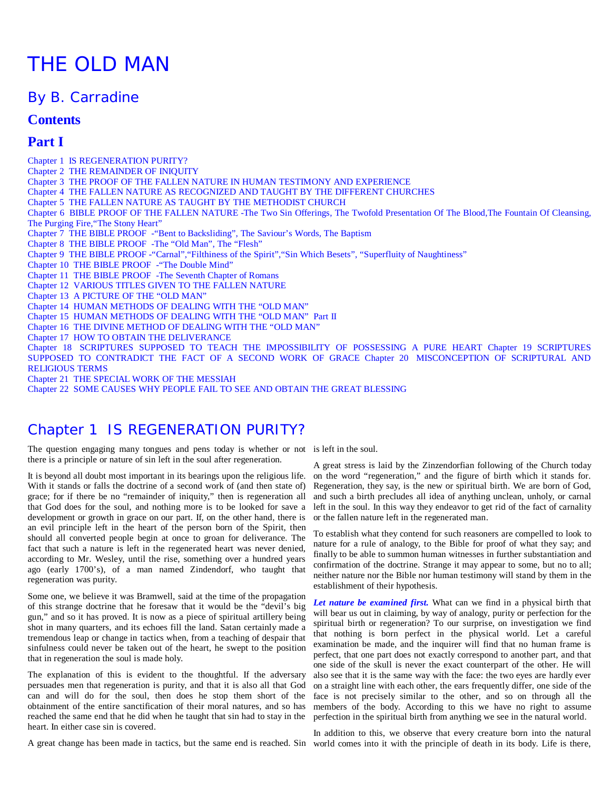# THE OLD MAN

### By B. Carradine

### **Contents**

### **Part I**

Chapter 1 IS REGENERATION PURITY? Chapter 2 THE REMAINDER OF INIQUITY Chapter 3 THE PROOF OF THE FALLEN NATURE IN HUMAN TESTIMONY AND EXPERIENCE Chapter 4 THE FALLEN NATURE AS RECOGNIZED AND TAUGHT BY THE DIFFERENT CHURCHES Chapter 5 THE FALLEN NATURE AS TAUGHT BY THE METHODIST CHURCH Chapter 6 BIBLE PROOF OF THE FALLEN NATURE -The Two Sin Offerings, The Twofold Presentation Of The Blood,The Fountain Of Cleansing, The Purging Fire, "The Stony Heart" Chapter 7 THE BIBLE PROOF -"Bent to Backsliding", The Saviour's Words, The Baptism Chapter 8 THE BIBLE PROOF -The "Old Man", The "Flesh" Chapter 9 THE BIBLE PROOF -"Carnal","Filthiness of the Spirit","Sin Which Besets", "Superfluity of Naughtiness" Chapter 10 THE BIBLE PROOF -"The Double Mind" Chapter 11 THE BIBLE PROOF -The Seventh Chapter of Romans Chapter 12 VARIOUS TITLES GIVEN TO THE FALLEN NATURE Chapter 13 A PICTURE OF THE "OLD MAN" Chapter 14 HUMAN METHODS OF DEALING WITH THE "OLD MAN" Chapter 15 HUMAN METHODS OF DEALING WITH THE "OLD MAN" Part II Chapter 16 THE DIVINE METHOD OF DEALING WITH THE "OLD MAN" Chapter 17 HOW TO OBTAIN THE DELIVERANCE Chapter 18 SCRIPTURES SUPPOSED TO TEACH THE IMPOSSIBILITY OF POSSESSING A PURE HEART Chapter 19 SCRIPTURES SUPPOSED TO CONTRADICT THE FACT OF A SECOND WORK OF GRACE Chapter 20 MISCONCEPTION OF SCRIPTURAL AND RELIGIOUS TERMS Chapter 21 THE SPECIAL WORK OF THE MESSIAH

Chapter 22 SOME CAUSES WHY PEOPLE FAIL TO SEE AND OBTAIN THE GREAT BLESSING

### Chapter 1 IS REGENERATION PURITY?

The question engaging many tongues and pens today is whether or not is left in the soul. there is a principle or nature of sin left in the soul after regeneration.

It is beyond all doubt most important in its bearings upon the religious life. With it stands or falls the doctrine of a second work of (and then state of) grace; for if there be no "remainder of iniquity," then is regeneration all that God does for the soul, and nothing more is to be looked for save a development or growth in grace on our part. If, on the other hand, there is an evil principle left in the heart of the person born of the Spirit, then should all converted people begin at once to groan for deliverance. The fact that such a nature is left in the regenerated heart was never denied, according to Mr. Wesley, until the rise, something over a hundred years ago (early 1700's), of a man named Zindendorf, who taught that regeneration was purity.

Some one, we believe it was Bramwell, said at the time of the propagation of this strange doctrine that he foresaw that it would be the "devil's big gun," and so it has proved. It is now as a piece of spiritual artillery being shot in many quarters, and its echoes fill the land. Satan certainly made a tremendous leap or change in tactics when, from a teaching of despair that sinfulness could never be taken out of the heart, he swept to the position that in regeneration the soul is made holy.

The explanation of this is evident to the thoughtful. If the adversary persuades men that regeneration is purity, and that it is also all that God can and will do for the soul, then does he stop them short of the obtainment of the entire sanctification of their moral natures, and so has reached the same end that he did when he taught that sin had to stay in the heart. In either case sin is covered.

A great stress is laid by the Zinzendorfian following of the Church today on the word "regeneration," and the figure of birth which it stands for. Regeneration, they say, is the new or spiritual birth. We are born of God, and such a birth precludes all idea of anything unclean, unholy, or carnal left in the soul. In this way they endeavor to get rid of the fact of carnality or the fallen nature left in the regenerated man.

To establish what they contend for such reasoners are compelled to look to nature for a rule of analogy, to the Bible for proof of what they say; and finally to be able to summon human witnesses in further substantiation and confirmation of the doctrine. Strange it may appear to some, but no to all; neither nature nor the Bible nor human testimony will stand by them in the establishment of their hypothesis.

*Let nature be examined first.* What can we find in a physical birth that will bear us out in claiming, by way of analogy, purity or perfection for the spiritual birth or regeneration? To our surprise, on investigation we find that nothing is born perfect in the physical world. Let a careful examination be made, and the inquirer will find that no human frame is perfect, that one part does not exactly correspond to another part, and that one side of the skull is never the exact counterpart of the other. He will also see that it is the same way with the face: the two eyes are hardly ever on a straight line with each other, the ears frequently differ, one side of the face is not precisely similar to the other, and so on through all the members of the body. According to this we have no right to assume perfection in the spiritual birth from anything we see in the natural world.

A great change has been made in tactics, but the same end is reached. Sin world comes into it with the principle of death in its body. Life is there,In addition to this, we observe that every creature born into the natural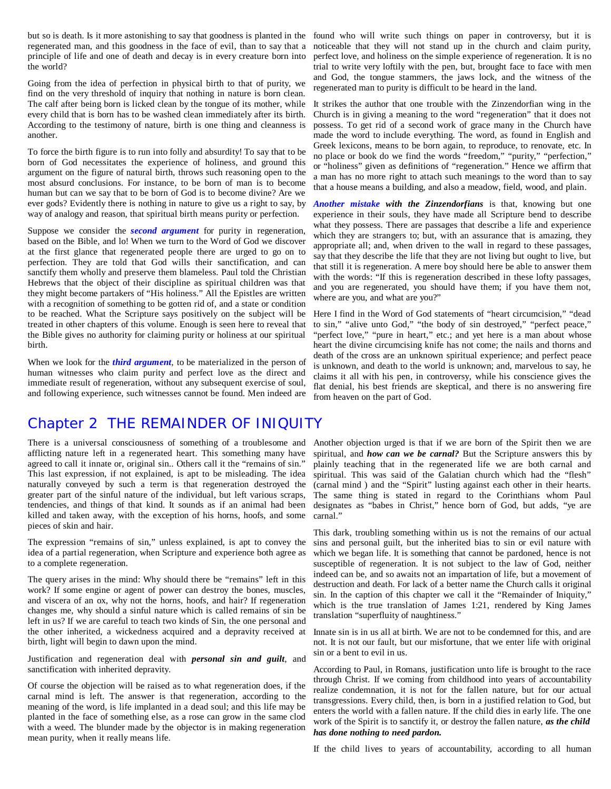regenerated man, and this goodness in the face of evil, than to say that a principle of life and one of death and decay is in every creature born into the world?

Going from the idea of perfection in physical birth to that of purity, we find on the very threshold of inquiry that nothing in nature is born clean. The calf after being born is licked clean by the tongue of its mother, while every child that is born has to be washed clean immediately after its birth. According to the testimony of nature, birth is one thing and cleanness is another.

To force the birth figure is to run into folly and absurdity! To say that to be born of God necessitates the experience of holiness, and ground this argument on the figure of natural birth, throws such reasoning open to the most absurd conclusions. For instance, to be born of man is to become human but can we say that to be born of God is to become divine? Are we ever gods? Evidently there is nothing in nature to give us a right to say, by way of analogy and reason, that spiritual birth means purity or perfection.

Suppose we consider the *second argument* for purity in regeneration, based on the Bible, and lo! When we turn to the Word of God we discover at the first glance that regenerated people there are urged to go on to perfection. They are told that God wills their sanctification, and can sanctify them wholly and preserve them blameless. Paul told the Christian Hebrews that the object of their discipline as spiritual children was that they might become partakers of "His holiness." All the Epistles are written with a recognition of something to be gotten rid of, and a state or condition to be reached. What the Scripture says positively on the subject will be treated in other chapters of this volume. Enough is seen here to reveal that the Bible gives no authority for claiming purity or holiness at our spiritual birth.

When we look for the *third argument*, to be materialized in the person of human witnesses who claim purity and perfect love as the direct and immediate result of regeneration, without any subsequent exercise of soul, and following experience, such witnesses cannot be found. Men indeed are

but so is death. Is it more astonishing to say that goodness is planted in the found who will write such things on paper in controversy, but it is noticeable that they will not stand up in the church and claim purity, perfect love, and holiness on the simple experience of regeneration. It is no trial to write very loftily with the pen, but, brought face to face with men and God, the tongue stammers, the jaws lock, and the witness of the regenerated man to purity is difficult to be heard in the land.

> It strikes the author that one trouble with the Zinzendorfian wing in the Church is in giving a meaning to the word "regeneration" that it does not possess. To get rid of a second work of grace many in the Church have made the word to include everything. The word, as found in English and Greek lexicons, means to be born again, to reproduce, to renovate, etc. In no place or book do we find the words "freedom," "purity," "perfection," or "holiness" given as definitions of "regeneration." Hence we affirm that a man has no more right to attach such meanings to the word than to say that a house means a building, and also a meadow, field, wood, and plain.

> *Another mistake with the Zinzendorfians* is that, knowing but one experience in their souls, they have made all Scripture bend to describe what they possess. There are passages that describe a life and experience which they are strangers to; but, with an assurance that is amazing, they appropriate all; and, when driven to the wall in regard to these passages, say that they describe the life that they are not living but ought to live, but that still it is regeneration. A mere boy should here be able to answer them with the words: "If this is regeneration described in these lofty passages, and you are regenerated, you should have them; if you have them not, where are you, and what are you?"

> Here I find in the Word of God statements of "heart circumcision," "dead to sin," "alive unto God," "the body of sin destroyed," "perfect peace," "perfect love," "pure in heart," etc.; and yet here is a man about whose heart the divine circumcising knife has not come; the nails and thorns and death of the cross are an unknown spiritual experience; and perfect peace is unknown, and death to the world is unknown; and, marvelous to say, he claims it all with his pen, in controversy, while his conscience gives the flat denial, his best friends are skeptical, and there is no answering fire from heaven on the part of God.

### Chapter 2 THE REMAINDER OF INIQUITY

afflicting nature left in a regenerated heart. This something many have agreed to call it innate or, original sin.. Others call it the "remains of sin." This last expression, if not explained, is apt to be misleading. The idea naturally conveyed by such a term is that regeneration destroyed the greater part of the sinful nature of the individual, but left various scraps, tendencies, and things of that kind. It sounds as if an animal had been killed and taken away, with the exception of his horns, hoofs, and some pieces of skin and hair.

The expression "remains of sin," unless explained, is apt to convey the idea of a partial regeneration, when Scripture and experience both agree as to a complete regeneration.

The query arises in the mind: Why should there be "remains" left in this work? If some engine or agent of power can destroy the bones, muscles, and viscera of an ox, why not the horns, hoofs, and hair? If regeneration changes me, why should a sinful nature which is called remains of sin be left in us? If we are careful to teach two kinds of Sin, the one personal and the other inherited, a wickedness acquired and a depravity received at birth, light will begin to dawn upon the mind.

Justification and regeneration deal with *personal sin and guilt*, and sanctification with inherited depravity.

Of course the objection will be raised as to what regeneration does, if the carnal mind is left. The answer is that regeneration, according to the meaning of the word, is life implanted in a dead soul; and this life may be planted in the face of something else, as a rose can grow in the same clod with a weed. The blunder made by the objector is in making regeneration mean purity, when it really means life.

There is a universal consciousness of something of a troublesome and Another objection urged is that if we are born of the Spirit then we are spiritual, and *how can we be carnal?* But the Scripture answers this by plainly teaching that in the regenerated life we are both carnal and spiritual. This was said of the Galatian church which had the "flesh" (carnal mind ) and the "Spirit" lusting against each other in their hearts. The same thing is stated in regard to the Corinthians whom Paul designates as "babes in Christ," hence born of God, but adds, "ye are carnal."

> This dark, troubling something within us is not the remains of our actual sins and personal guilt, but the inherited bias to sin or evil nature with which we began life. It is something that cannot be pardoned, hence is not susceptible of regeneration. It is not subject to the law of God, neither indeed can be, and so awaits not an impartation of life, but a movement of destruction and death. For lack of a better name the Church calls it original sin. In the caption of this chapter we call it the "Remainder of Iniquity," which is the true translation of James 1:21, rendered by King James translation "superfluity of naughtiness."

> Innate sin is in us all at birth. We are not to be condemned for this, and are not. It is not our fault, but our misfortune, that we enter life with original sin or a bent to evil in us.

> According to Paul, in Romans, justification unto life is brought to the race through Christ. If we coming from childhood into years of accountability realize condemnation, it is not for the fallen nature, but for our actual transgressions. Every child, then, is born in a justified relation to God, but enters the world with a fallen nature. If the child dies in early life. The one work of the Spirit is to sanctify it, or destroy the fallen nature, *as the child has done nothing to need pardon.*

> If the child lives to years of accountability, according to all human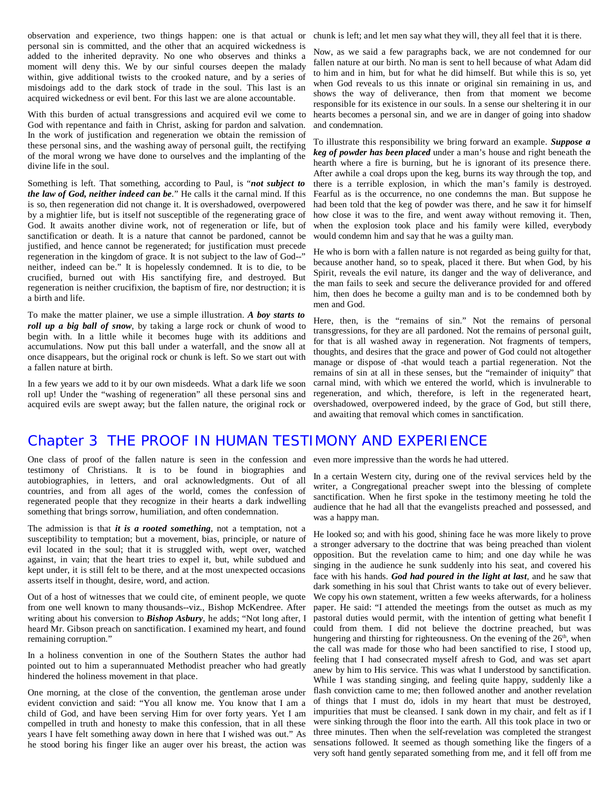observation and experience, two things happen: one is that actual or chunk is left; and let men say what they will, they all feel that it is there. personal sin is committed, and the other that an acquired wickedness is added to the inherited depravity. No one who observes and thinks a moment will deny this. We by our sinful courses deepen the malady within, give additional twists to the crooked nature, and by a series of misdoings add to the dark stock of trade in the soul. This last is an acquired wickedness or evil bent. For this last we are alone accountable.

With this burden of actual transgressions and acquired evil we come to God with repentance and faith in Christ, asking for pardon and salvation. In the work of justification and regeneration we obtain the remission of these personal sins, and the washing away of personal guilt, the rectifying of the moral wrong we have done to ourselves and the implanting of the divine life in the soul.

Something is left. That something, according to Paul, is "*not subject to the law of God, neither indeed can be*." He calls it the carnal mind. If this is so, then regeneration did not change it. It is overshadowed, overpowered by a mightier life, but is itself not susceptible of the regenerating grace of God. It awaits another divine work, not of regeneration or life, but of sanctification or death. It is a nature that cannot be pardoned, cannot be justified, and hence cannot be regenerated; for justification must precede regeneration in the kingdom of grace. It is not subject to the law of God--" neither, indeed can be." It is hopelessly condemned. It is to die, to be crucified, burned out with His sanctifying fire, and destroyed. But regeneration is neither crucifixion, the baptism of fire, nor destruction; it is a birth and life.

To make the matter plainer, we use a simple illustration. *A boy starts to roll up a big ball of snow*, by taking a large rock or chunk of wood to begin with. In a little while it becomes huge with its additions and accumulations. Now put this ball under a waterfall, and the snow all at once disappears, but the original rock or chunk is left. So we start out with a fallen nature at birth.

In a few years we add to it by our own misdeeds. What a dark life we soon roll up! Under the "washing of regeneration" all these personal sins and acquired evils are swept away; but the fallen nature, the original rock or

Now, as we said a few paragraphs back, we are not condemned for our fallen nature at our birth. No man is sent to hell because of what Adam did to him and in him, but for what he did himself. But while this is so, yet when God reveals to us this innate or original sin remaining in us, and shows the way of deliverance, then from that moment we become responsible for its existence in our souls. In a sense our sheltering it in our hearts becomes a personal sin, and we are in danger of going into shadow and condemnation.

To illustrate this responsibility we bring forward an example. *Suppose a keg of powder has been placed* under a man's house and right beneath the hearth where a fire is burning, but he is ignorant of its presence there. After awhile a coal drops upon the keg, burns its way through the top, and there is a terrible explosion, in which the man's family is destroyed. Fearful as is the occurrence, no one condemns the man. But suppose he had been told that the keg of powder was there, and he saw it for himself how close it was to the fire, and went away without removing it. Then, when the explosion took place and his family were killed, everybody would condemn him and say that he was a guilty man.

He who is born with a fallen nature is not regarded as being guilty for that, because another hand, so to speak, placed it there. But when God, by his Spirit, reveals the evil nature, its danger and the way of deliverance, and the man fails to seek and secure the deliverance provided for and offered him, then does he become a guilty man and is to be condemned both by men and God.

Here, then, is the "remains of sin." Not the remains of personal transgressions, for they are all pardoned. Not the remains of personal guilt, for that is all washed away in regeneration. Not fragments of tempers, thoughts, and desires that the grace and power of God could not altogether manage or dispose of -that would teach a partial regeneration. Not the remains of sin at all in these senses, but the "remainder of iniquity" that carnal mind, with which we entered the world, which is invulnerable to regeneration, and which, therefore, is left in the regenerated heart, overshadowed, overpowered indeed, by the grace of God, but still there, and awaiting that removal which comes in sanctification.

### Chapter 3 THE PROOF IN HUMAN TESTIMONY AND EXPERIENCE

One class of proof of the fallen nature is seen in the confession and even more impressive than the words he had uttered. testimony of Christians. It is to be found in biographies and autobiographies, in letters, and oral acknowledgments. Out of all countries, and from all ages of the world, comes the confession of regenerated people that they recognize in their hearts a dark indwelling something that brings sorrow, humiliation, and often condemnation.

The admission is that *it is a rooted something*, not a temptation, not a susceptibility to temptation; but a movement, bias, principle, or nature of evil located in the soul; that it is struggled with, wept over, watched against, in vain; that the heart tries to expel it, but, while subdued and kept under, it is still felt to be there, and at the most unexpected occasions asserts itself in thought, desire, word, and action.

Out of a host of witnesses that we could cite, of eminent people, we quote from one well known to many thousands--viz., Bishop McKendree. After writing about his conversion to *Bishop Asbury*, he adds; "Not long after, I heard Mr. Gibson preach on sanctification. I examined my heart, and found remaining corruption."

In a holiness convention in one of the Southern States the author had pointed out to him a superannuated Methodist preacher who had greatly hindered the holiness movement in that place.

One morning, at the close of the convention, the gentleman arose under evident conviction and said: "You all know me. You know that I am a child of God, and have been serving Him for over forty years. Yet I am compelled in truth and honesty to make this confession, that in all these years I have felt something away down in here that I wished was out." As he stood boring his finger like an auger over his breast, the action was

In a certain Western city, during one of the revival services held by the writer, a Congregational preacher swept into the blessing of complete sanctification. When he first spoke in the testimony meeting he told the audience that he had all that the evangelists preached and possessed, and was a happy man.

He looked so; and with his good, shining face he was more likely to prove a stronger adversary to the doctrine that was being preached than violent opposition. But the revelation came to him; and one day while he was singing in the audience he sunk suddenly into his seat, and covered his face with his hands. *God had poured in the light at last*, and he saw that dark something in his soul that Christ wants to take out of every believer. We copy his own statement, written a few weeks afterwards, for a holiness paper. He said: "I attended the meetings from the outset as much as my pastoral duties would permit, with the intention of getting what benefit I could from them. I did not believe the doctrine preached, but was hungering and thirsting for righteousness. On the evening of the 26<sup>th</sup>, when the call was made for those who had been sanctified to rise, I stood up, feeling that I had consecrated myself afresh to God, and was set apart anew by him to His service. This was what I understood by sanctification. While I was standing singing, and feeling quite happy, suddenly like a flash conviction came to me; then followed another and another revelation of things that I must do, idols in my heart that must be destroyed, impurities that must be cleansed. I sank down in my chair, and felt as if I were sinking through the floor into the earth. All this took place in two or three minutes. Then when the self-revelation was completed the strangest sensations followed. It seemed as though something like the fingers of a very soft hand gently separated something from me, and it fell off from me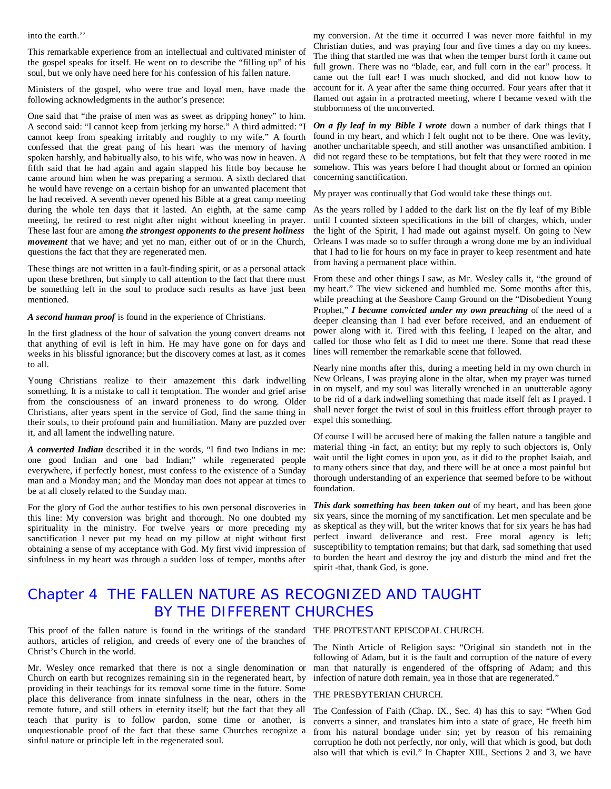into the earth.''

This remarkable experience from an intellectual and cultivated minister of the gospel speaks for itself. He went on to describe the "filling up" of his soul, but we only have need here for his confession of his fallen nature.

Ministers of the gospel, who were true and loyal men, have made the following acknowledgments in the author's presence:

One said that "the praise of men was as sweet as dripping honey" to him. A second said: "I cannot keep from jerking my horse." A third admitted: "I cannot keep from speaking irritably and roughly to my wife." A fourth confessed that the great pang of his heart was the memory of having spoken harshly, and habitually also, to his wife, who was now in heaven. A fifth said that he had again and again slapped his little boy because he came around him when he was preparing a sermon. A sixth declared that he would have revenge on a certain bishop for an unwanted placement that he had received. A seventh never opened his Bible at a great camp meeting during the whole ten days that it lasted. An eighth, at the same camp meeting, he retired to rest night after night without kneeling in prayer. These last four are among *the strongest opponents to the present holiness movement* that we have; and yet no man, either out of or in the Church, questions the fact that they are regenerated men.

These things are not written in a fault-finding spirit, or as a personal attack upon these brethren, but simply to call attention to the fact that there must be something left in the soul to produce such results as have just been mentioned.

*A second human proof* is found in the experience of Christians.

In the first gladness of the hour of salvation the young convert dreams not that anything of evil is left in him. He may have gone on for days and weeks in his blissful ignorance; but the discovery comes at last, as it comes to all.

Young Christians realize to their amazement this dark indwelling something. It is a mistake to call it temptation. The wonder and grief arise from the consciousness of an inward proneness to do wrong. Older Christians, after years spent in the service of God, find the same thing in their souls, to their profound pain and humiliation. Many are puzzled over it, and all lament the indwelling nature.

*A converted Indian* described it in the words, "I find two Indians in me: one good Indian and one bad Indian;" while regenerated people everywhere, if perfectly honest, must confess to the existence of a Sunday man and a Monday man; and the Monday man does not appear at times to be at all closely related to the Sunday man.

For the glory of God the author testifies to his own personal discoveries in this line: My conversion was bright and thorough. No one doubted my spirituality in the ministry. For twelve years or more preceding my sanctification I never put my head on my pillow at night without first obtaining a sense of my acceptance with God. My first vivid impression of sinfulness in my heart was through a sudden loss of temper, months after

my conversion. At the time it occurred I was never more faithful in my Christian duties, and was praying four and five times a day on my knees. The thing that startled me was that when the temper burst forth it came out full grown. There was no "blade, ear, and full corn in the ear" process. It came out the full ear! I was much shocked, and did not know how to account for it. A year after the same thing occurred. Four years after that it flamed out again in a protracted meeting, where I became vexed with the stubbornness of the unconverted.

*On a fly leaf in my Bible I wrote* down a number of dark things that I found in my heart, and which I felt ought not to be there. One was levity, another uncharitable speech, and still another was unsanctified ambition. I did not regard these to be temptations, but felt that they were rooted in me somehow. This was years before I had thought about or formed an opinion concerning sanctification.

My prayer was continually that God would take these things out.

As the years rolled by I added to the dark list on the fly leaf of my Bible until I counted sixteen specifications in the bill of charges, which, under the light of the Spirit, I had made out against myself. On going to New Orleans I was made so to suffer through a wrong done me by an individual that I had to lie for hours on my face in prayer to keep resentment and hate from having a permanent place within.

From these and other things I saw, as Mr. Wesley calls it, "the ground of my heart." The view sickened and humbled me. Some months after this, while preaching at the Seashore Camp Ground on the "Disobedient Young Prophet," *I became convicted under my own preaching* of the need of a deeper cleansing than I had ever before received, and an enduement of power along with it. Tired with this feeling, I leaped on the altar, and called for those who felt as I did to meet me there. Some that read these lines will remember the remarkable scene that followed.

Nearly nine months after this, during a meeting held in my own church in New Orleans, I was praying alone in the altar, when my prayer was turned in on myself, and my soul was literally wrenched in an unutterable agony to be rid of a dark indwelling something that made itself felt as I prayed. I shall never forget the twist of soul in this fruitless effort through prayer to expel this something.

Of course I will be accused here of making the fallen nature a tangible and material thing -in fact, an entity; but my reply to such objectors is, Only wait until the light comes in upon you, as it did to the prophet Isaiah, and to many others since that day, and there will be at once a most painful but thorough understanding of an experience that seemed before to be without foundation.

*This dark something has been taken out* of my heart, and has been gone six years, since the morning of my sanctification. Let men speculate and be as skeptical as they will, but the writer knows that for six years he has had perfect inward deliverance and rest. Free moral agency is left; susceptibility to temptation remains; but that dark, sad something that used to burden the heart and destroy the joy and disturb the mind and fret the spirit -that, thank God, is gone.

### Chapter 4 THE FALLEN NATURE AS RECOGNIZED AND TAUGHT BY THE DIFFERENT CHURCHES

This proof of the fallen nature is found in the writings of the standard THE PROTESTANT EPISCOPAL CHURCH. authors, articles of religion, and creeds of every one of the branches of Christ's Church in the world.

Mr. Wesley once remarked that there is not a single denomination or Church on earth but recognizes remaining sin in the regenerated heart, by providing in their teachings for its removal some time in the future. Some place this deliverance from innate sinfulness in the near, others in the remote future, and still others in eternity itself; but the fact that they all teach that purity is to follow pardon, some time or another, is unquestionable proof of the fact that these same Churches recognize a sinful nature or principle left in the regenerated soul.

The Ninth Article of Religion says: "Original sin standeth not in the following of Adam, but it is the fault and corruption of the nature of every man that naturally is engendered of the offspring of Adam; and this infection of nature doth remain, yea in those that are regenerated."

#### THE PRESBYTERIAN CHURCH.

The Confession of Faith (Chap. IX., Sec. 4) has this to say: "When God converts a sinner, and translates him into a state of grace, He freeth him from his natural bondage under sin; yet by reason of his remaining corruption he doth not perfectly, nor only, will that which is good, but doth also will that which is evil." In Chapter XIII., Sections 2 and 3, we have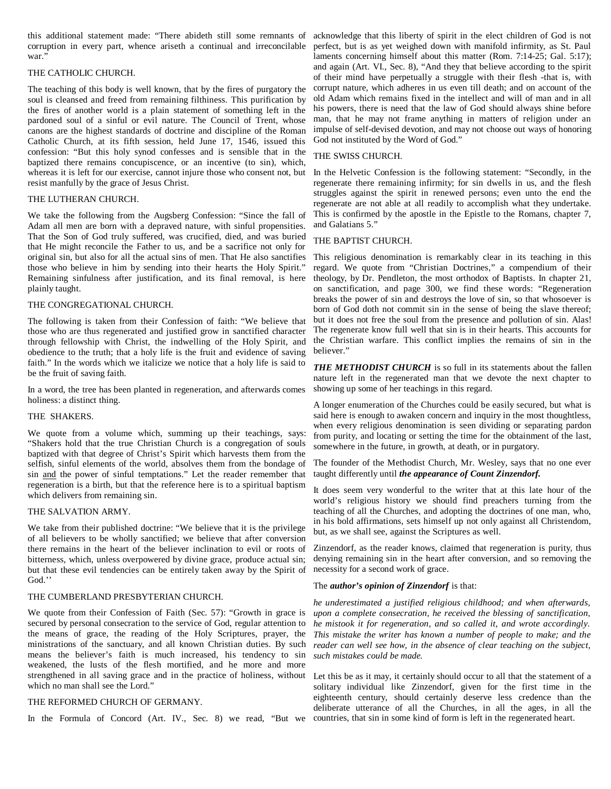this additional statement made: "There abideth still some remnants of acknowledge that this liberty of spirit in the elect children of God is not corruption in every part, whence ariseth a continual and irreconcilable perfect, but is as yet weighed down with manifold infirmity, as St. Paul war."

#### THE CATHOLIC CHURCH.

The teaching of this body is well known, that by the fires of purgatory the soul is cleansed and freed from remaining filthiness. This purification by the fires of another world is a plain statement of something left in the pardoned soul of a sinful or evil nature. The Council of Trent, whose canons are the highest standards of doctrine and discipline of the Roman Catholic Church, at its fifth session, held June 17, 1546, issued this confession: "But this holy synod confesses and is sensible that in the baptized there remains concupiscence, or an incentive (to sin), which, whereas it is left for our exercise, cannot injure those who consent not, but In the Helvetic Confession is the following statement: "Secondly, in the resist manfully by the grace of Jesus Christ.

#### THE LUTHERAN CHURCH.

We take the following from the Augsberg Confession: "Since the fall of Adam all men are born with a depraved nature, with sinful propensities. That the Son of God truly suffered, was crucified, died, and was buried that He might reconcile the Father to us, and be a sacrifice not only for original sin, but also for all the actual sins of men. That He also sanctifies those who believe in him by sending into their hearts the Holy Spirit." Remaining sinfulness after justification, and its final removal, is here plainly taught.

#### THE CONGREGATIONAL CHURCH.

The following is taken from their Confession of faith: "We believe that those who are thus regenerated and justified grow in sanctified character through fellowship with Christ, the indwelling of the Holy Spirit, and obedience to the truth; that a holy life is the fruit and evidence of saving faith." In the words which we italicize we notice that a holy life is said to be the fruit of saving faith.

In a word, the tree has been planted in regeneration, and afterwards comes holiness: a distinct thing.

#### THE SHAKERS.

We quote from a volume which, summing up their teachings, says: "Shakers hold that the true Christian Church is a congregation of souls baptized with that degree of Christ's Spirit which harvests them from the selfish, sinful elements of the world, absolves them from the bondage of sin and the power of sinful temptations." Let the reader remember that taught differently until *the appearance of Count Zinzendorf.* regeneration is a birth, but that the reference here is to a spiritual baptism which delivers from remaining sin.

#### THE SALVATION ARMY.

We take from their published doctrine: "We believe that it is the privilege of all believers to be wholly sanctified; we believe that after conversion there remains in the heart of the believer inclination to evil or roots of bitterness, which, unless overpowered by divine grace, produce actual sin; but that these evil tendencies can be entirely taken away by the Spirit of God.''

#### THE CUMBERLAND PRESBYTERIAN CHURCH.

We quote from their Confession of Faith (Sec. 57): "Growth in grace is secured by personal consecration to the service of God, regular attention to the means of grace, the reading of the Holy Scriptures, prayer, the ministrations of the sanctuary, and all known Christian duties. By such means the believer's faith is much increased, his tendency to sin weakened, the lusts of the flesh mortified, and he more and more strengthened in all saving grace and in the practice of holiness, without Let this be as it may, it certainly should occur to all that the statement of a which no man shall see the Lord."

#### THE REFORMED CHURCH OF GERMANY.

In the Formula of Concord (Art. IV., Sec. 8) we read, "But we countries, that sin in some kind of form is left in the regenerated heart.

laments concerning himself about this matter (Rom. 7:14-25; Gal. 5:17); and again (Art. VI., Sec. 8), "And they that believe according to the spirit of their mind have perpetually a struggle with their flesh -that is, with corrupt nature, which adheres in us even till death; and on account of the old Adam which remains fixed in the intellect and will of man and in all his powers, there is need that the law of God should always shine before man, that he may not frame anything in matters of religion under an impulse of self-devised devotion, and may not choose out ways of honoring God not instituted by the Word of God."

#### THE SWISS CHURCH.

regenerate there remaining infirmity; for sin dwells in us, and the flesh struggles against the spirit in renewed persons; even unto the end the regenerate are not able at all readily to accomplish what they undertake. This is confirmed by the apostle in the Epistle to the Romans, chapter 7, and Galatians 5."

### THE BAPTIST CHURCH.

This religious denomination is remarkably clear in its teaching in this regard. We quote from "Christian Doctrines," a compendium of their theology, by Dr. Pendleton, the most orthodox of Baptists. In chapter 21, on sanctification, and page 300, we find these words: "Regeneration breaks the power of sin and destroys the love of sin, so that whosoever is born of God doth not commit sin in the sense of being the slave thereof; but it does not free the soul from the presence and pollution of sin. Alas! The regenerate know full well that sin is in their hearts. This accounts for the Christian warfare. This conflict implies the remains of sin in the believer."

*THE METHODIST CHURCH* is so full in its statements about the fallen nature left in the regenerated man that we devote the next chapter to showing up some of her teachings in this regard.

A longer enumeration of the Churches could be easily secured, but what is said here is enough to awaken concern and inquiry in the most thoughtless, when every religious denomination is seen dividing or separating pardon from purity, and locating or setting the time for the obtainment of the last, somewhere in the future, in growth, at death, or in purgatory.

The founder of the Methodist Church, Mr. Wesley, says that no one ever

It does seem very wonderful to the writer that at this late hour of the world's religious history we should find preachers turning from the teaching of all the Churches, and adopting the doctrines of one man, who, in his bold affirmations, sets himself up not only against all Christendom, but, as we shall see, against the Scriptures as well.

Zinzendorf, as the reader knows, claimed that regeneration is purity, thus denying remaining sin in the heart after conversion, and so removing the necessity for a second work of grace.

#### The *author's opinion of Zinzendorf* is that:

*he underestimated a justified religious childhood; and when afterwards, upon a complete consecration, he received the blessing of sanctification, he mistook it for regeneration, and so called it, and wrote accordingly. This mistake the writer has known a number of people to make; and the reader can well see how, in the absence of clear teaching on the subject, such mistakes could be made.* 

solitary individual like Zinzendorf, given for the first time in the eighteenth century, should certainly deserve less credence than the deliberate utterance of all the Churches, in all the ages, in all the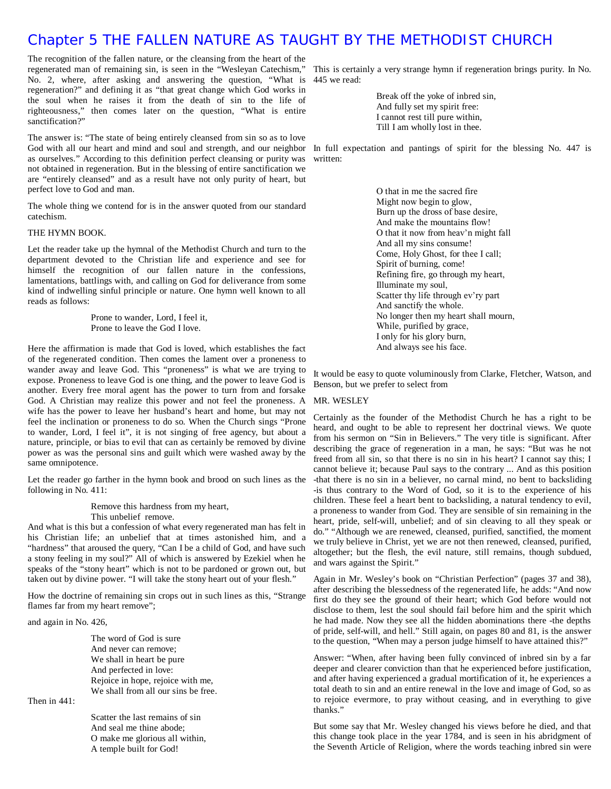### Chapter 5 THE FALLEN NATURE AS TAUGHT BY THE METHODIST CHURCH

The recognition of the fallen nature, or the cleansing from the heart of the regenerated man of remaining sin, is seen in the "Wesleyan Catechism," This is certainly a very strange hymn if regeneration brings purity. In No. No. 2, where, after asking and answering the question, "What is 445 we read: regeneration?" and defining it as "that great change which God works in the soul when he raises it from the death of sin to the life of righteousness," then comes later on the question, "What is entire sanctification?"

The answer is: "The state of being entirely cleansed from sin so as to love God with all our heart and mind and soul and strength, and our neighbor In full expectation and pantings of spirit for the blessing No. 447 is as ourselves." According to this definition perfect cleansing or purity was written: not obtained in regeneration. But in the blessing of entire sanctification we are "entirely cleansed" and as a result have not only purity of heart, but perfect love to God and man.

The whole thing we contend for is in the answer quoted from our standard catechism.

#### THE HYMN BOOK.

Let the reader take up the hymnal of the Methodist Church and turn to the department devoted to the Christian life and experience and see for himself the recognition of our fallen nature in the confessions, lamentations, battlings with, and calling on God for deliverance from some kind of indwelling sinful principle or nature. One hymn well known to all reads as follows:

> Prone to wander, Lord, I feel it, Prone to leave the God I love.

Here the affirmation is made that God is loved, which establishes the fact of the regenerated condition. Then comes the lament over a proneness to wander away and leave God. This "proneness" is what we are trying to expose. Proneness to leave God is one thing, and the power to leave God is another. Every free moral agent has the power to turn from and forsake God. A Christian may realize this power and not feel the proneness. A wife has the power to leave her husband's heart and home, but may not feel the inclination or proneness to do so. When the Church sings "Prone to wander, Lord, I feel it", it is not singing of free agency, but about a nature, principle, or bias to evil that can as certainly be removed by divine power as was the personal sins and guilt which were washed away by the same omnipotence.

Let the reader go farther in the hymn book and brood on such lines as the following in No. 411:

Remove this hardness from my heart,

This unbelief remove.

And what is this but a confession of what every regenerated man has felt in his Christian life; an unbelief that at times astonished him, and a "hardness" that aroused the query, "Can I be a child of God, and have such a stony feeling in my soul?" All of which is answered by Ezekiel when he speaks of the "stony heart" which is not to be pardoned or grown out, but taken out by divine power. "I will take the stony heart out of your flesh."

How the doctrine of remaining sin crops out in such lines as this, "Strange flames far from my heart remove";

and again in No. 426,

The word of God is sure And never can remove; We shall in heart be pure And perfected in love: Rejoice in hope, rejoice with me, We shall from all our sins be free.

Then in 441:

Scatter the last remains of sin And seal me thine abode; O make me glorious all within, A temple built for God!

Break off the yoke of inbred sin, And fully set my spirit free: I cannot rest till pure within, Till I am wholly lost in thee.

O that in me the sacred fire Might now begin to glow, Burn up the dross of base desire, And make the mountains flow! O that it now from heav'n might fall And all my sins consume! Come, Holy Ghost, for thee I call; Spirit of burning, come! Refining fire, go through my heart, Illuminate my soul, Scatter thy life through ev'ry part And sanctify the whole. No longer then my heart shall mourn, While, purified by grace, I only for his glory burn, And always see his face.

It would be easy to quote voluminously from Clarke, Fletcher, Watson, and Benson, but we prefer to select from

#### MR. WESLEY

Certainly as the founder of the Methodist Church he has a right to be heard, and ought to be able to represent her doctrinal views. We quote from his sermon on "Sin in Believers." The very title is significant. After describing the grace of regeneration in a man, he says: "But was he not freed from all sin, so that there is no sin in his heart? I cannot say this; I cannot believe it; because Paul says to the contrary ... And as this position -that there is no sin in a believer, no carnal mind, no bent to backsliding -is thus contrary to the Word of God, so it is to the experience of his children. These feel a heart bent to backsliding, a natural tendency to evil, a proneness to wander from God. They are sensible of sin remaining in the heart, pride, self-will, unbelief; and of sin cleaving to all they speak or do." "Although we are renewed, cleansed, purified, sanctified, the moment we truly believe in Christ, yet we are not then renewed, cleansed, purified, altogether; but the flesh, the evil nature, still remains, though subdued, and wars against the Spirit."

Again in Mr. Wesley's book on "Christian Perfection" (pages 37 and 38), after describing the blessedness of the regenerated life, he adds: "And now first do they see the ground of their heart; which God before would not disclose to them, lest the soul should fail before him and the spirit which he had made. Now they see all the hidden abominations there -the depths of pride, self-will, and hell." Still again, on pages 80 and 81, is the answer to the question, "When may a person judge himself to have attained this?"

Answer: "When, after having been fully convinced of inbred sin by a far deeper and clearer conviction than that he experienced before justification, and after having experienced a gradual mortification of it, he experiences a total death to sin and an entire renewal in the love and image of God, so as to rejoice evermore, to pray without ceasing, and in everything to give thanks."

But some say that Mr. Wesley changed his views before he died, and that this change took place in the year 1784, and is seen in his abridgment of the Seventh Article of Religion, where the words teaching inbred sin were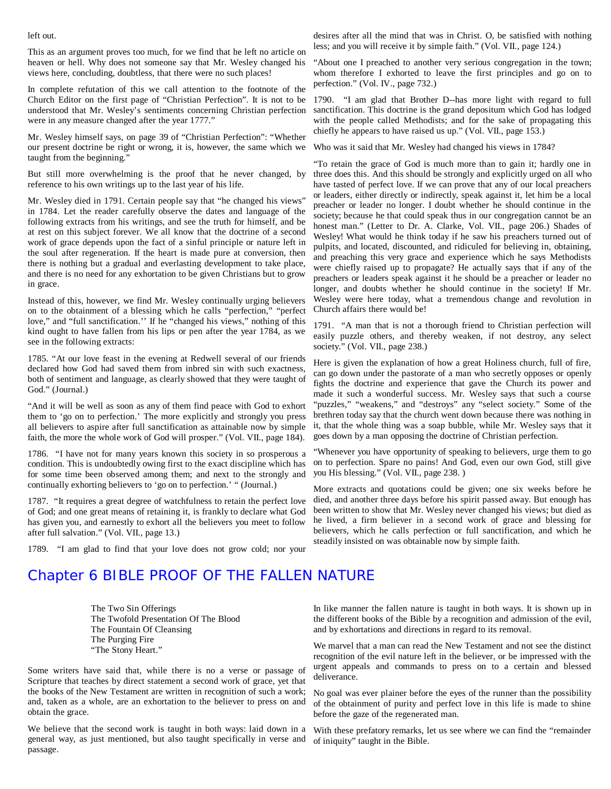left out.

This as an argument proves too much, for we find that he left no article on heaven or hell. Why does not someone say that Mr. Wesley changed his views here, concluding, doubtless, that there were no such places!

In complete refutation of this we call attention to the footnote of the Church Editor on the first page of "Christian Perfection". It is not to be understood that Mr. Wesley's sentiments concerning Christian perfection were in any measure changed after the year 1777."

Mr. Wesley himself says, on page 39 of "Christian Perfection": "Whether our present doctrine be right or wrong, it is, however, the same which we taught from the beginning."

But still more overwhelming is the proof that he never changed, by reference to his own writings up to the last year of his life.

Mr. Wesley died in 1791. Certain people say that "he changed his views" in 1784. Let the reader carefully observe the dates and language of the following extracts from his writings, and see the truth for himself, and be at rest on this subject forever. We all know that the doctrine of a second work of grace depends upon the fact of a sinful principle or nature left in the soul after regeneration. If the heart is made pure at conversion, then there is nothing but a gradual and everlasting development to take place, and there is no need for any exhortation to be given Christians but to grow in grace.

Instead of this, however, we find Mr. Wesley continually urging believers on to the obtainment of a blessing which he calls "perfection," "perfect love," and "full sanctification.'' If he "changed his views," nothing of this kind ought to have fallen from his lips or pen after the year 1784, as we see in the following extracts:

1785. "At our love feast in the evening at Redwell several of our friends declared how God had saved them from inbred sin with such exactness, both of sentiment and language, as clearly showed that they were taught of God." (Journal.)

"And it will be well as soon as any of them find peace with God to exhort them to 'go on to perfection.' The more explicitly and strongly you press all believers to aspire after full sanctification as attainable now by simple faith, the more the whole work of God will prosper." (Vol. VII., page 184).

1786. "I have not for many years known this society in so prosperous a condition. This is undoubtedly owing first to the exact discipline which has for some time been observed among them; and next to the strongly and continually exhorting believers to 'go on to perfection.' " (Journal.)

1787. "It requires a great degree of watchfulness to retain the perfect love of God; and one great means of retaining it, is frankly to declare what God has given you, and earnestly to exhort all the believers you meet to follow after full salvation." (Vol. VII., page 13.)

1789. "I am glad to find that your love does not grow cold; nor your

desires after all the mind that was in Christ. O, be satisfied with nothing less; and you will receive it by simple faith." (Vol. VII., page 124.)

"About one I preached to another very serious congregation in the town; whom therefore I exhorted to leave the first principles and go on to perfection." (Vol. IV., page 732.)

1790. "I am glad that Brother D--has more light with regard to full sanctification. This doctrine is the grand depositum which God has lodged with the people called Methodists; and for the sake of propagating this chiefly he appears to have raised us up." (Vol. VII., page 153.)

Who was it said that Mr. Wesley had changed his views in 1784?

"To retain the grace of God is much more than to gain it; hardly one in three does this. And this should be strongly and explicitly urged on all who have tasted of perfect love. If we can prove that any of our local preachers or leaders, either directly or indirectly, speak against it, let him be a local preacher or leader no longer. I doubt whether he should continue in the society; because he that could speak thus in our congregation cannot be an honest man." (Letter to Dr. A. Clarke, Vol. VII., page 206.) Shades of Wesley! What would he think today if he saw his preachers turned out of pulpits, and located, discounted, and ridiculed for believing in, obtaining, and preaching this very grace and experience which he says Methodists were chiefly raised up to propagate? He actually says that if any of the preachers or leaders speak against it he should be a preacher or leader no longer, and doubts whether he should continue in the society! If Mr. Wesley were here today, what a tremendous change and revolution in Church affairs there would be!

1791. "A man that is not a thorough friend to Christian perfection will easily puzzle others, and thereby weaken, if not destroy, any select society." (Vol. VII., page 238.)

Here is given the explanation of how a great Holiness church, full of fire, can go down under the pastorate of a man who secretly opposes or openly fights the doctrine and experience that gave the Church its power and made it such a wonderful success. Mr. Wesley says that such a course "puzzles," "weakens," and "destroys" any "select society." Some of the brethren today say that the church went down because there was nothing in it, that the whole thing was a soap bubble, while Mr. Wesley says that it goes down by a man opposing the doctrine of Christian perfection.

"Whenever you have opportunity of speaking to believers, urge them to go on to perfection. Spare no pains! And God, even our own God, still give you His blessing." (Vol. VII., page 238. )

More extracts and quotations could be given; one six weeks before he died, and another three days before his spirit passed away. But enough has been written to show that Mr. Wesley never changed his views; but died as he lived, a firm believer in a second work of grace and blessing for believers, which he calls perfection or full sanctification, and which he steadily insisted on was obtainable now by simple faith.

## Chapter 6 BIBLE PROOF OF THE FALLEN NATURE

The Two Sin Offerings The Twofold Presentation Of The Blood The Fountain Of Cleansing The Purging Fire "The Stony Heart."

Some writers have said that, while there is no a verse or passage of Scripture that teaches by direct statement a second work of grace, yet that the books of the New Testament are written in recognition of such a work; and, taken as a whole, are an exhortation to the believer to press on and obtain the grace.

We believe that the second work is taught in both ways: laid down in a general way, as just mentioned, but also taught specifically in verse and passage.

In like manner the fallen nature is taught in both ways. It is shown up in the different books of the Bible by a recognition and admission of the evil, and by exhortations and directions in regard to its removal.

We marvel that a man can read the New Testament and not see the distinct recognition of the evil nature left in the believer, or be impressed with the urgent appeals and commands to press on to a certain and blessed deliverance.

No goal was ever plainer before the eyes of the runner than the possibility of the obtainment of purity and perfect love in this life is made to shine before the gaze of the regenerated man.

With these prefatory remarks, let us see where we can find the "remainder of iniquity" taught in the Bible.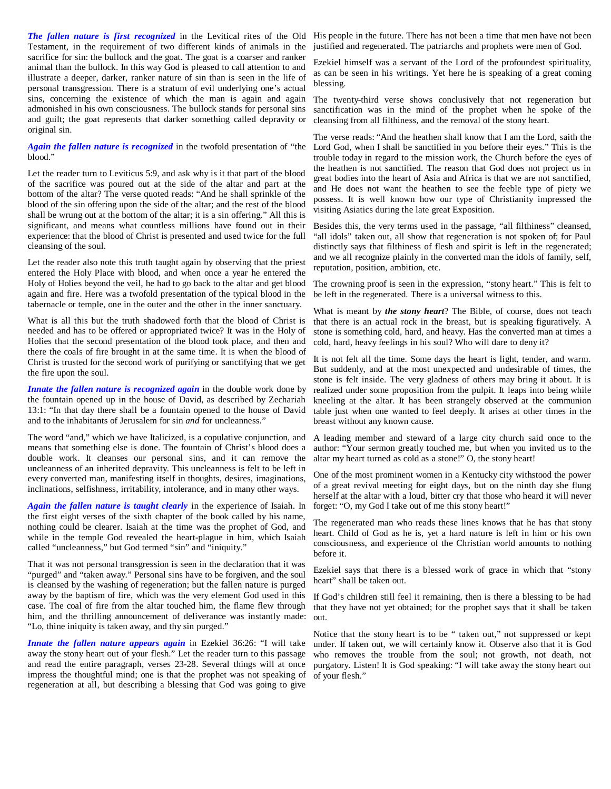Testament, in the requirement of two different kinds of animals in the justified and regenerated. The patriarchs and prophets were men of God. sacrifice for sin: the bullock and the goat. The goat is a coarser and ranker animal than the bullock. In this way God is pleased to call attention to and illustrate a deeper, darker, ranker nature of sin than is seen in the life of personal transgression. There is a stratum of evil underlying one's actual sins, concerning the existence of which the man is again and again admonished in his own consciousness. The bullock stands for personal sins and guilt; the goat represents that darker something called depravity or original sin.

*Again the fallen nature is recognized* in the twofold presentation of "the blood."

Let the reader turn to Leviticus 5:9, and ask why is it that part of the blood of the sacrifice was poured out at the side of the altar and part at the bottom of the altar? The verse quoted reads: "And he shall sprinkle of the blood of the sin offering upon the side of the altar; and the rest of the blood shall be wrung out at the bottom of the altar; it is a sin offering." All this is significant, and means what countless millions have found out in their experience: that the blood of Christ is presented and used twice for the full cleansing of the soul.

Let the reader also note this truth taught again by observing that the priest entered the Holy Place with blood, and when once a year he entered the Holy of Holies beyond the veil, he had to go back to the altar and get blood again and fire. Here was a twofold presentation of the typical blood in the tabernacle or temple, one in the outer and the other in the inner sanctuary.

What is all this but the truth shadowed forth that the blood of Christ is needed and has to be offered or appropriated twice? It was in the Holy of Holies that the second presentation of the blood took place, and then and there the coals of fire brought in at the same time. It is when the blood of Christ is trusted for the second work of purifying or sanctifying that we get the fire upon the soul.

*Innate the fallen nature is recognized again* in the double work done by the fountain opened up in the house of David, as described by Zechariah 13:1: "In that day there shall be a fountain opened to the house of David and to the inhabitants of Jerusalem for sin *and* for uncleanness."

The word "and," which we have Italicized, is a copulative conjunction, and means that something else is done. The fountain of Christ's blood does a double work. It cleanses our personal sins, and it can remove the uncleanness of an inherited depravity. This uncleanness is felt to be left in every converted man, manifesting itself in thoughts, desires, imaginations, inclinations, selfishness, irritability, intolerance, and in many other ways.

*Again the fallen nature is taught clearly* in the experience of Isaiah. In the first eight verses of the sixth chapter of the book called by his name, nothing could be clearer. Isaiah at the time was the prophet of God, and while in the temple God revealed the heart-plague in him, which Isaiah called "uncleanness," but God termed "sin" and "iniquity."

That it was not personal transgression is seen in the declaration that it was "purged" and "taken away." Personal sins have to be forgiven, and the soul is cleansed by the washing of regeneration; but the fallen nature is purged away by the baptism of fire, which was the very element God used in this case. The coal of fire from the altar touched him, the flame flew through that they have not yet obtained; for the prophet says that it shall be taken him, and the thrilling announcement of deliverance was instantly made: out. "Lo, thine iniquity is taken away, and thy sin purged."

*Innate the fallen nature appears again* in Ezekiel 36:26: "I will take away the stony heart out of your flesh." Let the reader turn to this passage and read the entire paragraph, verses 23-28. Several things will at once impress the thoughtful mind; one is that the prophet was not speaking of regeneration at all, but describing a blessing that God was going to give

*The fallen nature is first recognized* in the Levitical rites of the Old His people in the future. There has not been a time that men have not been

Ezekiel himself was a servant of the Lord of the profoundest spirituality, as can be seen in his writings. Yet here he is speaking of a great coming blessing.

The twenty-third verse shows conclusively that not regeneration but sanctification was in the mind of the prophet when he spoke of the cleansing from all filthiness, and the removal of the stony heart.

The verse reads: "And the heathen shall know that I am the Lord, saith the Lord God, when I shall be sanctified in you before their eyes." This is the trouble today in regard to the mission work, the Church before the eyes of the heathen is not sanctified. The reason that God does not project us in great bodies into the heart of Asia and Africa is that we are not sanctified, and He does not want the heathen to see the feeble type of piety we possess. It is well known how our type of Christianity impressed the visiting Asiatics during the late great Exposition.

Besides this, the very terms used in the passage, "all filthiness" cleansed, "all idols" taken out, all show that regeneration is not spoken of; for Paul distinctly says that filthiness of flesh and spirit is left in the regenerated; and we all recognize plainly in the converted man the idols of family, self, reputation, position, ambition, etc.

The crowning proof is seen in the expression, "stony heart." This is felt to be left in the regenerated. There is a universal witness to this.

What is meant by *the stony heart*? The Bible, of course, does not teach that there is an actual rock in the breast, but is speaking figuratively. A stone is something cold, hard, and heavy. Has the converted man at times a cold, hard, heavy feelings in his soul? Who will dare to deny it?

It is not felt all the time. Some days the heart is light, tender, and warm. But suddenly, and at the most unexpected and undesirable of times, the stone is felt inside. The very gladness of others may bring it about. It is realized under some proposition from the pulpit. It leaps into being while kneeling at the altar. It has been strangely observed at the communion table just when one wanted to feel deeply. It arises at other times in the breast without any known cause.

A leading member and steward of a large city church said once to the author: "Your sermon greatly touched me, but when you invited us to the altar my heart turned as cold as a stone!" O, the stony heart!

One of the most prominent women in a Kentucky city withstood the power of a great revival meeting for eight days, but on the ninth day she flung herself at the altar with a loud, bitter cry that those who heard it will never forget: "O, my God I take out of me this stony heart!"

The regenerated man who reads these lines knows that he has that stony heart. Child of God as he is, yet a hard nature is left in him or his own consciousness, and experience of the Christian world amounts to nothing before it.

Ezekiel says that there is a blessed work of grace in which that "stony heart" shall be taken out.

If God's children still feel it remaining, then is there a blessing to be had

Notice that the stony heart is to be " taken out," not suppressed or kept under. If taken out, we will certainly know it. Observe also that it is God who removes the trouble from the soul; not growth, not death, not purgatory. Listen! It is God speaking: "I will take away the stony heart out of your flesh."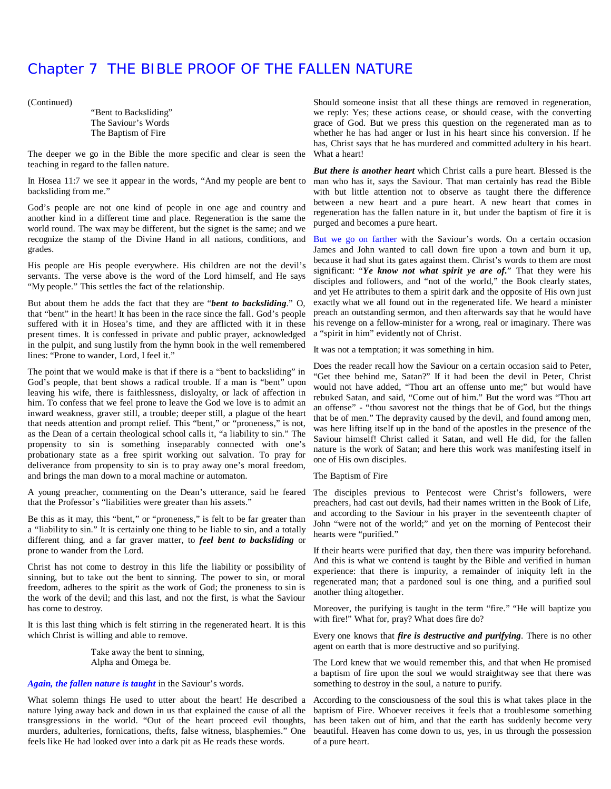### Chapter 7 THE BIBLE PROOF OF THE FALLEN NATURE

(Continued)

"Bent to Backsliding" The Saviour's Words The Baptism of Fire

The deeper we go in the Bible the more specific and clear is seen the What a heart! teaching in regard to the fallen nature.

In Hosea 11:7 we see it appear in the words, "And my people are bent to backsliding from me."

God's people are not one kind of people in one age and country and another kind in a different time and place. Regeneration is the same the world round. The wax may be different, but the signet is the same; and we recognize the stamp of the Divine Hand in all nations, conditions, and But we go on farther with the Saviour's words. On a certain occasion grades.

His people are His people everywhere. His children are not the devil's servants. The verse above is the word of the Lord himself, and He says "My people." This settles the fact of the relationship.

But about them he adds the fact that they are "*bent to backsliding*." O, that "bent" in the heart! It has been in the race since the fall. God's people suffered with it in Hosea's time, and they are afflicted with it in these present times. It is confessed in private and public prayer, acknowledged in the pulpit, and sung lustily from the hymn book in the well remembered lines: "Prone to wander, Lord, I feel it."

The point that we would make is that if there is a "bent to backsliding" in God's people, that bent shows a radical trouble. If a man is "bent" upon leaving his wife, there is faithlessness, disloyalty, or lack of affection in him. To confess that we feel prone to leave the God we love is to admit an inward weakness, graver still, a trouble; deeper still, a plague of the heart that needs attention and prompt relief. This "bent," or "proneness," is not, as the Dean of a certain theological school calls it, "a liability to sin." The propensity to sin is something inseparably connected with one's probationary state as a free spirit working out salvation. To pray for deliverance from propensity to sin is to pray away one's moral freedom, and brings the man down to a moral machine or automaton.

A young preacher, commenting on the Dean's utterance, said he feared The disciples previous to Pentecost were Christ's followers, were that the Professor's "liabilities were greater than his assets."

Be this as it may, this "bent," or "proneness," is felt to be far greater than a "liability to sin." It is certainly one thing to be liable to sin, and a totally different thing, and a far graver matter, to *feel bent to backsliding* or prone to wander from the Lord.

Christ has not come to destroy in this life the liability or possibility of sinning, but to take out the bent to sinning. The power to sin, or moral freedom, adheres to the spirit as the work of God; the proneness to sin is the work of the devil; and this last, and not the first, is what the Saviour has come to destroy.

It is this last thing which is felt stirring in the regenerated heart. It is this which Christ is willing and able to remove.

> Take away the bent to sinning, Alpha and Omega be.

#### *Again, the fallen nature is taught* in the Saviour's words.

What solemn things He used to utter about the heart! He described a nature lying away back and down in us that explained the cause of all the transgressions in the world. "Out of the heart proceed evil thoughts, murders, adulteries, fornications, thefts, false witness, blasphemies." One feels like He had looked over into a dark pit as He reads these words.

Should someone insist that all these things are removed in regeneration, we reply: Yes; these actions cease, or should cease, with the converting grace of God. But we press this question on the regenerated man as to whether he has had anger or lust in his heart since his conversion. If he has, Christ says that he has murdered and committed adultery in his heart.

*But there is another heart* which Christ calls a pure heart. Blessed is the man who has it, says the Saviour. That man certainly has read the Bible with but little attention not to observe as taught there the difference between a new heart and a pure heart. A new heart that comes in regeneration has the fallen nature in it, but under the baptism of fire it is purged and becomes a pure heart.

James and John wanted to call down fire upon a town and burn it up, because it had shut its gates against them. Christ's words to them are most significant: "*Ye know not what spirit ye are of.*" That they were his disciples and followers, and "not of the world," the Book clearly states, and yet He attributes to them a spirit dark and the opposite of His own just exactly what we all found out in the regenerated life. We heard a minister preach an outstanding sermon, and then afterwards say that he would have his revenge on a fellow-minister for a wrong, real or imaginary. There was a "spirit in him" evidently not of Christ.

It was not a temptation; it was something in him.

Does the reader recall how the Saviour on a certain occasion said to Peter, "Get thee behind me, Satan?" If it had been the devil in Peter, Christ would not have added, "Thou art an offense unto me;" but would have rebuked Satan, and said, "Come out of him." But the word was "Thou art an offense" - "thou savorest not the things that be of God, but the things that be of men." The depravity caused by the devil, and found among men, was here lifting itself up in the band of the apostles in the presence of the Saviour himself! Christ called it Satan, and well He did, for the fallen nature is the work of Satan; and here this work was manifesting itself in one of His own disciples.

The Baptism of Fire

preachers, had cast out devils, had their names written in the Book of Life, and according to the Saviour in his prayer in the seventeenth chapter of John "were not of the world;" and yet on the morning of Pentecost their hearts were "purified."

If their hearts were purified that day, then there was impurity beforehand. And this is what we contend is taught by the Bible and verified in human experience: that there is impurity, a remainder of iniquity left in the regenerated man; that a pardoned soul is one thing, and a purified soul another thing altogether.

Moreover, the purifying is taught in the term "fire." "He will baptize you with fire!" What for, pray? What does fire do?

Every one knows that *fire is destructive and purifying*. There is no other agent on earth that is more destructive and so purifying.

The Lord knew that we would remember this, and that when He promised a baptism of fire upon the soul we would straightway see that there was something to destroy in the soul, a nature to purify.

According to the consciousness of the soul this is what takes place in the baptism of Fire. Whoever receives it feels that a troublesome something has been taken out of him, and that the earth has suddenly become very beautiful. Heaven has come down to us, yes, in us through the possession of a pure heart.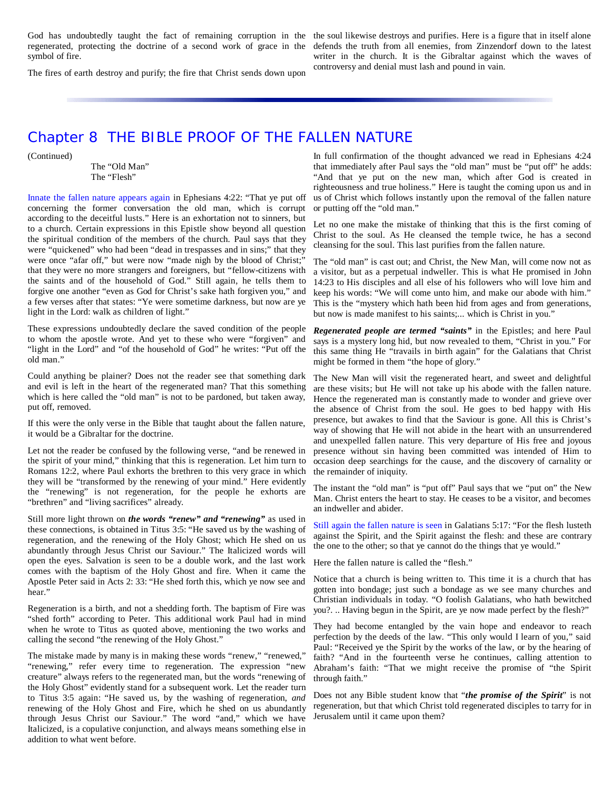regenerated, protecting the doctrine of a second work of grace in the symbol of fire.

God has undoubtedly taught the fact of remaining corruption in the the soul likewise destroys and purifies. Here is a figure that in itself alone defends the truth from all enemies, from Zinzendorf down to the latest writer in the church. It is the Gibraltar against which the waves of controversy and denial must lash and pound in vain.

The fires of earth destroy and purify; the fire that Christ sends down upon

### Chapter 8 THE BIBLE PROOF OF THE FALLEN NATURE

(Continued)

The "Old Man" The "Flesh"

Innate the fallen nature appears again in Ephesians 4:22: "That ye put off concerning the former conversation the old man, which is corrupt according to the deceitful lusts." Here is an exhortation not to sinners, but to a church. Certain expressions in this Epistle show beyond all question the spiritual condition of the members of the church. Paul says that they were "quickened" who had been "dead in trespasses and in sins;" that they were once "afar off," but were now "made nigh by the blood of Christ;" that they were no more strangers and foreigners, but "fellow-citizens with the saints and of the household of God." Still again, he tells them to forgive one another "even as God for Christ's sake hath forgiven you," and a few verses after that states: "Ye were sometime darkness, but now are ye light in the Lord: walk as children of light."

These expressions undoubtedly declare the saved condition of the people to whom the apostle wrote. And yet to these who were "forgiven" and "light in the Lord" and "of the household of God" he writes: "Put off the old man."

Could anything be plainer? Does not the reader see that something dark and evil is left in the heart of the regenerated man? That this something which is here called the "old man" is not to be pardoned, but taken away, put off, removed.

If this were the only verse in the Bible that taught about the fallen nature, it would be a Gibraltar for the doctrine.

Let not the reader be confused by the following verse, "and be renewed in the spirit of your mind," thinking that this is regeneration. Let him turn to Romans 12:2, where Paul exhorts the brethren to this very grace in which they will be "transformed by the renewing of your mind." Here evidently the "renewing" is not regeneration, for the people he exhorts are "brethren" and "living sacrifices" already.

Still more light thrown on *the words "renew" and "renewing"* as used in these connections, is obtained in Titus 3:5: "He saved us by the washing of regeneration, and the renewing of the Holy Ghost; which He shed on us abundantly through Jesus Christ our Saviour." The Italicized words will open the eyes. Salvation is seen to be a double work, and the last work Here the fallen nature is called the "flesh." comes with the baptism of the Holy Ghost and fire. When it came the Apostle Peter said in Acts 2: 33: "He shed forth this, which ye now see and hear."

Regeneration is a birth, and not a shedding forth. The baptism of Fire was "shed forth" according to Peter. This additional work Paul had in mind when he wrote to Titus as quoted above, mentioning the two works and calling the second "the renewing of the Holy Ghost."

The mistake made by many is in making these words "renew," "renewed," "renewing," refer every time to regeneration. The expression "new creature" always refers to the regenerated man, but the words "renewing of the Holy Ghost" evidently stand for a subsequent work. Let the reader turn to Titus 3:5 again: "He saved us, by the washing of regeneration, *and* renewing of the Holy Ghost and Fire, which he shed on us abundantly through Jesus Christ our Saviour." The word "and," which we have Italicized, is a copulative conjunction, and always means something else in addition to what went before.

In full confirmation of the thought advanced we read in Ephesians 4:24 that immediately after Paul says the "old man" must be "put off" he adds: "And that ye put on the new man, which after God is created in righteousness and true holiness." Here is taught the coming upon us and in us of Christ which follows instantly upon the removal of the fallen nature or putting off the "old man."

Let no one make the mistake of thinking that this is the first coming of Christ to the soul. As He cleansed the temple twice, he has a second cleansing for the soul. This last purifies from the fallen nature.

The "old man" is cast out; and Christ, the New Man, will come now not as a visitor, but as a perpetual indweller. This is what He promised in John 14:23 to His disciples and all else of his followers who will love him and keep his words: "We will come unto him, and make our abode with him." This is the "mystery which hath been hid from ages and from generations, but now is made manifest to his saints;... which is Christ in you."

*Regenerated people are termed "saints"* in the Epistles; and here Paul says is a mystery long hid, but now revealed to them, "Christ in you." For this same thing He "travails in birth again" for the Galatians that Christ might be formed in them "the hope of glory."

The New Man will visit the regenerated heart, and sweet and delightful are these visits; but He will not take up his abode with the fallen nature. Hence the regenerated man is constantly made to wonder and grieve over the absence of Christ from the soul. He goes to bed happy with His presence, but awakes to find that the Saviour is gone. All this is Christ's way of showing that He will not abide in the heart with an unsurrendered and unexpelled fallen nature. This very departure of His free and joyous presence without sin having been committed was intended of Him to occasion deep searchings for the cause, and the discovery of carnality or the remainder of iniquity.

The instant the "old man" is "put off" Paul says that we "put on" the New Man. Christ enters the heart to stay. He ceases to be a visitor, and becomes an indweller and abider.

Still again the fallen nature is seen in Galatians 5:17: "For the flesh lusteth against the Spirit, and the Spirit against the flesh: and these are contrary the one to the other; so that ye cannot do the things that ye would."

Notice that a church is being written to. This time it is a church that has gotten into bondage; just such a bondage as we see many churches and Christian individuals in today. "O foolish Galatians, who hath bewitched you?. .. Having begun in the Spirit, are ye now made perfect by the flesh?"

They had become entangled by the vain hope and endeavor to reach perfection by the deeds of the law. "This only would I learn of you," said Paul: "Received ye the Spirit by the works of the law, or by the hearing of faith? "And in the fourteenth verse he continues, calling attention to Abraham's faith: "That we might receive the promise of "the Spirit through faith."

Does not any Bible student know that "*the promise of the Spirit*" is not regeneration, but that which Christ told regenerated disciples to tarry for in Jerusalem until it came upon them?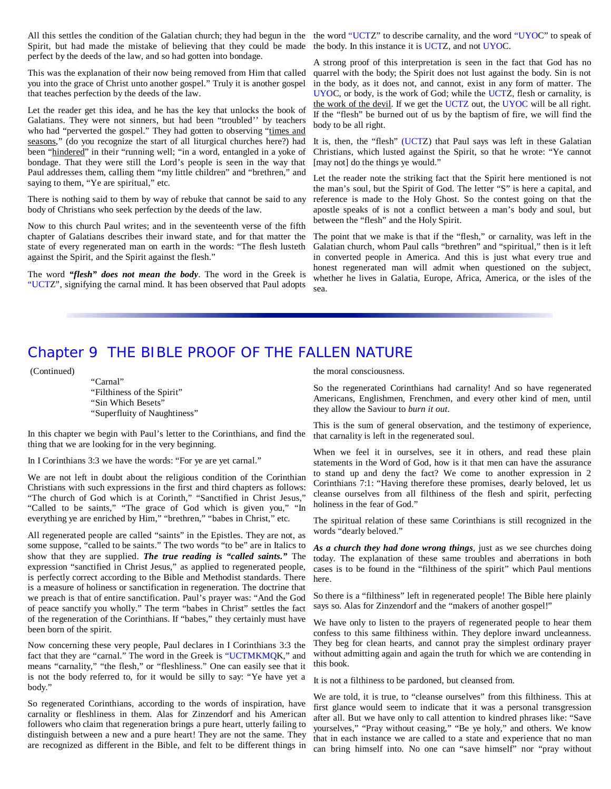Spirit, but had made the mistake of believing that they could be made the body. In this instance it is UCTZ, and not UYOC. perfect by the deeds of the law, and so had gotten into bondage.

This was the explanation of their now being removed from Him that called you into the grace of Christ unto another gospel." Truly it is another gospel that teaches perfection by the deeds of the law.

Let the reader get this idea, and he has the key that unlocks the book of Galatians. They were not sinners, but had been "troubled'' by teachers who had "perverted the gospel." They had gotten to observing "times and seasons," (do you recognize the start of all liturgical churches here?) had been "hindered" in their "running well; "in a word, entangled in a yoke of bondage. That they were still the Lord's people is seen in the way that Paul addresses them, calling them "my little children" and "brethren," and saying to them, "Ye are spiritual," etc.

There is nothing said to them by way of rebuke that cannot be said to any body of Christians who seek perfection by the deeds of the law.

Now to this church Paul writes; and in the seventeenth verse of the fifth chapter of Galatians describes their inward state, and for that matter the state of every regenerated man on earth in the words: "The flesh lusteth against the Spirit, and the Spirit against the flesh."

The word *"flesh" does not mean the body*. The word in the Greek is "UCTZ", signifying the carnal mind. It has been observed that Paul adopts

All this settles the condition of the Galatian church; they had begun in the the word "UCTZ" to describe carnality, and the word "UYOC" to speak of

A strong proof of this interpretation is seen in the fact that God has no quarrel with the body; the Spirit does not lust against the body. Sin is not in the body, as it does not, and cannot, exist in any form of matter. The UYOC, or body, is the work of God; while the UCTZ, flesh or carnality, is the work of the devil. If we get the UCTZ out, the UYOC will be all right. If the "flesh" be burned out of us by the baptism of fire, we will find the body to be all right.

It is, then, the "flesh" (UCTZ) that Paul says was left in these Galatian Christians, which lusted against the Spirit, so that he wrote: "Ye cannot [may not] do the things ye would."

Let the reader note the striking fact that the Spirit here mentioned is not the man's soul, but the Spirit of God. The letter "S" is here a capital, and reference is made to the Holy Ghost. So the contest going on that the apostle speaks of is not a conflict between a man's body and soul, but between the "flesh" and the Holy Spirit.

The point that we make is that if the "flesh," or carnality, was left in the Galatian church, whom Paul calls "brethren" and "spiritual," then is it left in converted people in America. And this is just what every true and honest regenerated man will admit when questioned on the subject, whether he lives in Galatia, Europe, Africa, America, or the isles of the sea.

## Chapter 9 THE BIBLE PROOF OF THE FALLEN NATURE

(Continued)

"Carnal" "Filthiness of the Spirit" "Sin Which Besets" "Superfluity of Naughtiness"

In this chapter we begin with Paul's letter to the Corinthians, and find the thing that we are looking for in the very beginning.

In I Corinthians 3:3 we have the words: "For ye are yet carnal."

We are not left in doubt about the religious condition of the Corinthian Christians with such expressions in the first and third chapters as follows: "The church of God which is at Corinth," "Sanctified in Christ Jesus," "Called to be saints," "The grace of God which is given you," "In everything ye are enriched by Him," "brethren," "babes in Christ," etc.

All regenerated people are called "saints" in the Epistles. They are not, as some suppose, "called to be saints." The two words "to be" are in Italics to show that they are supplied. *The true reading is "called saints."* The expression "sanctified in Christ Jesus," as applied to regenerated people, is perfectly correct according to the Bible and Methodist standards. There is a measure of holiness or sanctification in regeneration. The doctrine that we preach is that of entire sanctification. Paul's prayer was: "And the God of peace sanctify you wholly." The term "babes in Christ" settles the fact of the regeneration of the Corinthians. If "babes," they certainly must have been born of the spirit.

Now concerning these very people, Paul declares in I Corinthians 3:3 the fact that they are "carnal." The word in the Greek is "UCTMKMQK," and means "carnality," "the flesh," or "fleshliness." One can easily see that it is not the body referred to, for it would be silly to say: "Ye have yet a body."

So regenerated Corinthians, according to the words of inspiration, have carnality or fleshliness in them. Alas for Zinzendorf and his American followers who claim that regeneration brings a pure heart, utterly failing to distinguish between a new and a pure heart! They are not the same. They are recognized as different in the Bible, and felt to be different things in

the moral consciousness.

So the regenerated Corinthians had carnality! And so have regenerated Americans, Englishmen, Frenchmen, and every other kind of men, until they allow the Saviour to *burn it out.*

This is the sum of general observation, and the testimony of experience, that carnality is left in the regenerated soul.

When we feel it in ourselves, see it in others, and read these plain statements in the Word of God, how is it that men can have the assurance to stand up and deny the fact? We come to another expression in 2 Corinthians 7:1: "Having therefore these promises, dearly beloved, let us cleanse ourselves from all filthiness of the flesh and spirit, perfecting holiness in the fear of God."

The spiritual relation of these same Corinthians is still recognized in the words "dearly beloved."

*As a church they had done wrong things*, just as we see churches doing today. The explanation of these same troubles and aberrations in both cases is to be found in the "filthiness of the spirit" which Paul mentions here.

So there is a "filthiness" left in regenerated people! The Bible here plainly says so. Alas for Zinzendorf and the "makers of another gospel!"

We have only to listen to the prayers of regenerated people to hear them confess to this same filthiness within. They deplore inward uncleanness. They beg for clean hearts, and cannot pray the simplest ordinary prayer without admitting again and again the truth for which we are contending in this book.

It is not a filthiness to be pardoned, but cleansed from.

We are told, it is true, to "cleanse ourselves" from this filthiness. This at first glance would seem to indicate that it was a personal transgression after all. But we have only to call attention to kindred phrases like: "Save yourselves," "Pray without ceasing," "Be ye holy," and others. We know that in each instance we are called to a state and experience that no man can bring himself into. No one can "save himself" nor "pray without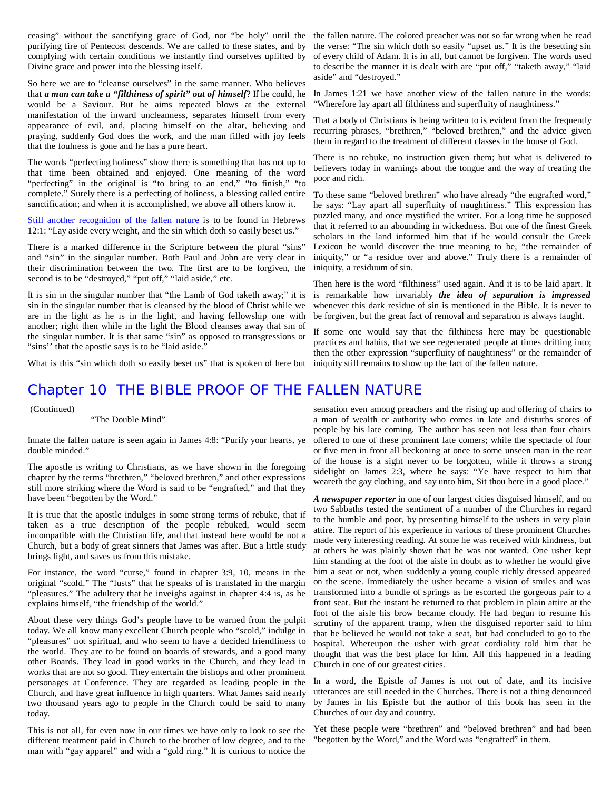ceasing" without the sanctifying grace of God, nor "be holy" until the the fallen nature. The colored preacher was not so far wrong when he read purifying fire of Pentecost descends. We are called to these states, and by complying with certain conditions we instantly find ourselves uplifted by Divine grace and power into the blessing itself.

So here we are to "cleanse ourselves" in the same manner. Who believes that *a man can take a "filthiness of spirit" out of himself*? If he could, he would be a Saviour. But he aims repeated blows at the external manifestation of the inward uncleanness, separates himself from every appearance of evil, and, placing himself on the altar, believing and praying, suddenly God does the work, and the man filled with joy feels that the foulness is gone and he has a pure heart.

The words "perfecting holiness" show there is something that has not up to that time been obtained and enjoyed. One meaning of the word "perfecting" in the original is "to bring to an end," "to finish," "to complete." Surely there is a perfecting of holiness, a blessing called entire sanctification; and when it is accomplished, we above all others know it.

Still another recognition of the fallen nature is to be found in Hebrews 12:1: "Lay aside every weight, and the sin which doth so easily beset us."

There is a marked difference in the Scripture between the plural "sins" and "sin" in the singular number. Both Paul and John are very clear in their discrimination between the two. The first are to be forgiven, the second is to be "destroyed," "put off," "laid aside," etc.

It is sin in the singular number that "the Lamb of God taketh away;" it is sin in the singular number that is cleansed by the blood of Christ while we are in the light as he is in the light, and having fellowship one with another; right then while in the light the Blood cleanses away that sin of the singular number. It is that same "sin" as opposed to transgressions or "sins" that the apostle says is to be "laid aside."

What is this "sin which doth so easily beset us" that is spoken of here but iniquity still remains to show up the fact of the fallen nature.

## Chapter 10 THE BIBLE PROOF OF THE FALLEN NATURE

(Continued)

"The Double Mind"

Innate the fallen nature is seen again in James 4:8: "Purify your hearts, ye double minded."

The apostle is writing to Christians, as we have shown in the foregoing chapter by the terms "brethren," "beloved brethren," and other expressions still more striking where the Word is said to be "engrafted," and that they have been "begotten by the Word."

It is true that the apostle indulges in some strong terms of rebuke, that if taken as a true description of the people rebuked, would seem incompatible with the Christian life, and that instead here would be not a Church, but a body of great sinners that James was after. But a little study brings light, and saves us from this mistake.

For instance, the word "curse," found in chapter 3:9, 10, means in the original "scold." The "lusts" that he speaks of is translated in the margin "pleasures." The adultery that he inveighs against in chapter 4:4 is, as he explains himself, "the friendship of the world."

About these very things God's people have to be warned from the pulpit today. We all know many excellent Church people who "scold," indulge in "pleasures" not spiritual, and who seem to have a decided friendliness to the world. They are to be found on boards of stewards, and a good many other Boards. They lead in good works in the Church, and they lead in works that are not so good. They entertain the bishops and other prominent personages at Conference. They are regarded as leading people in the Church, and have great influence in high quarters. What James said nearly two thousand years ago to people in the Church could be said to many today.

This is not all, for even now in our times we have only to look to see the different treatment paid in Church to the brother of low degree, and to the man with "gay apparel" and with a "gold ring." It is curious to notice the

the verse: "The sin which doth so easily "upset us." It is the besetting sin of every child of Adam. It is in all, but cannot be forgiven. The words used to describe the manner it is dealt with are "put off," "taketh away," "laid aside" and "destroyed."

In James 1:21 we have another view of the fallen nature in the words: "Wherefore lay apart all filthiness and superfluity of naughtiness."

That a body of Christians is being written to is evident from the frequently recurring phrases, "brethren," "beloved brethren," and the advice given them in regard to the treatment of different classes in the house of God.

There is no rebuke, no instruction given them; but what is delivered to believers today in warnings about the tongue and the way of treating the poor and rich.

To these same "beloved brethren" who have already "the engrafted word," he says: "Lay apart all superfluity of naughtiness." This expression has puzzled many, and once mystified the writer. For a long time he supposed that it referred to an abounding in wickedness. But one of the finest Greek scholars in the land informed him that if he would consult the Greek Lexicon he would discover the true meaning to be, "the remainder of iniquity," or "a residue over and above." Truly there is a remainder of iniquity, a residuum of sin.

Then here is the word "filthiness" used again. And it is to be laid apart. It is remarkable how invariably *the idea of separation is impressed* whenever this dark residue of sin is mentioned in the Bible. It is never to be forgiven, but the great fact of removal and separation is always taught.

If some one would say that the filthiness here may be questionable practices and habits, that we see regenerated people at times drifting into; then the other expression "superfluity of naughtiness" or the remainder of

sensation even among preachers and the rising up and offering of chairs to a man of wealth or authority who comes in late and disturbs scores of people by his late coming. The author has seen not less than four chairs offered to one of these prominent late comers; while the spectacle of four or five men in front all beckoning at once to some unseen man in the rear of the house is a sight never to be forgotten, while it throws a strong sidelight on James 2:3, where he says: "Ye have respect to him that weareth the gay clothing, and say unto him, Sit thou here in a good place."

*A newspaper reporter* in one of our largest cities disguised himself, and on two Sabbaths tested the sentiment of a number of the Churches in regard to the humble and poor, by presenting himself to the ushers in very plain attire. The report of his experience in various of these prominent Churches made very interesting reading. At some he was received with kindness, but at others he was plainly shown that he was not wanted. One usher kept him standing at the foot of the aisle in doubt as to whether he would give him a seat or not, when suddenly a young couple richly dressed appeared on the scene. Immediately the usher became a vision of smiles and was transformed into a bundle of springs as he escorted the gorgeous pair to a front seat. But the instant he returned to that problem in plain attire at the foot of the aisle his brow became cloudy. He had begun to resume his scrutiny of the apparent tramp, when the disguised reporter said to him that he believed he would not take a seat, but had concluded to go to the hospital. Whereupon the usher with great cordiality told him that he thought that was the best place for him. All this happened in a leading Church in one of our greatest cities.

In a word, the Epistle of James is not out of date, and its incisive utterances are still needed in the Churches. There is not a thing denounced by James in his Epistle but the author of this book has seen in the Churches of our day and country.

Yet these people were "brethren" and "beloved brethren" and had been "begotten by the Word," and the Word was "engrafted" in them.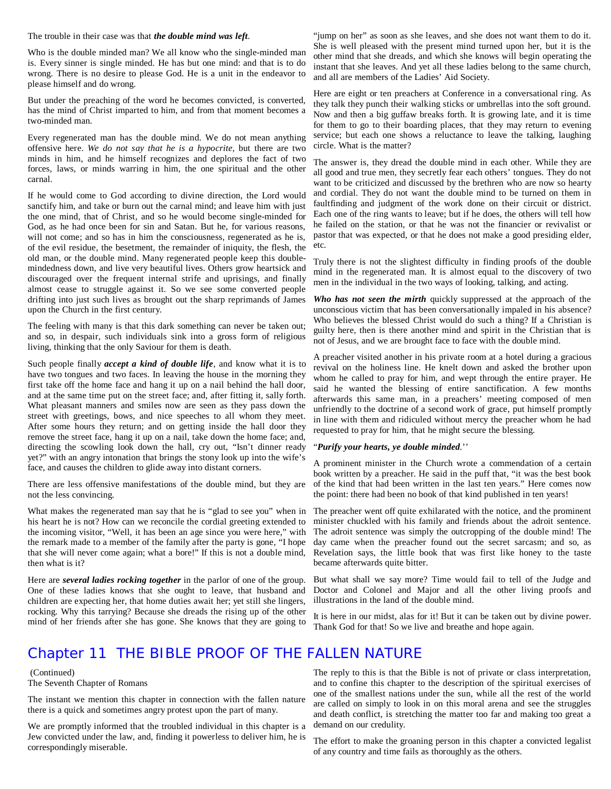The trouble in their case was that *the double mind was left*.

Who is the double minded man? We all know who the single-minded man is. Every sinner is single minded. He has but one mind: and that is to do wrong. There is no desire to please God. He is a unit in the endeavor to please himself and do wrong.

But under the preaching of the word he becomes convicted, is converted, has the mind of Christ imparted to him, and from that moment becomes a two-minded man.

Every regenerated man has the double mind. We do not mean anything offensive here. *We do not say that he is a hypocrite*, but there are two minds in him, and he himself recognizes and deplores the fact of two forces, laws, or minds warring in him, the one spiritual and the other carnal.

If he would come to God according to divine direction, the Lord would sanctify him, and take or burn out the carnal mind; and leave him with just the one mind, that of Christ, and so he would become single-minded for God, as he had once been for sin and Satan. But he, for various reasons, will not come; and so has in him the consciousness, regenerated as he is, of the evil residue, the besetment, the remainder of iniquity, the flesh, the old man, or the double mind. Many regenerated people keep this doublemindedness down, and live very beautiful lives. Others grow heartsick and discouraged over the frequent internal strife and uprisings, and finally almost cease to struggle against it. So we see some converted people drifting into just such lives as brought out the sharp reprimands of James upon the Church in the first century.

The feeling with many is that this dark something can never be taken out; and so, in despair, such individuals sink into a gross form of religious living, thinking that the only Saviour for them is death.

Such people finally *accept a kind of double life*, and know what it is to have two tongues and two faces. In leaving the house in the morning they first take off the home face and hang it up on a nail behind the hall door, and at the same time put on the street face; and, after fitting it, sally forth. What pleasant manners and smiles now are seen as they pass down the street with greetings, bows, and nice speeches to all whom they meet. After some hours they return; and on getting inside the hall door they remove the street face, hang it up on a nail, take down the home face; and, directing the scowling look down the hall, cry out, "Isn't dinner ready yet?" with an angry intonation that brings the stony look up into the wife's face, and causes the children to glide away into distant corners.

There are less offensive manifestations of the double mind, but they are not the less convincing.

What makes the regenerated man say that he is "glad to see you" when in his heart he is not? How can we reconcile the cordial greeting extended to the incoming visitor, "Well, it has been an age since you were here," with the remark made to a member of the family after the party is gone, "I hope that she will never come again; what a bore!" If this is not a double mind, then what is it?

Here are *several ladies rocking together* in the parlor of one of the group. One of these ladies knows that she ought to leave, that husband and children are expecting her, that home duties await her; yet still she lingers, rocking. Why this tarrying? Because she dreads the rising up of the other mind of her friends after she has gone. She knows that they are going to

"jump on her" as soon as she leaves, and she does not want them to do it. She is well pleased with the present mind turned upon her, but it is the other mind that she dreads, and which she knows will begin operating the instant that she leaves. And yet all these ladies belong to the same church, and all are members of the Ladies' Aid Society.

Here are eight or ten preachers at Conference in a conversational ring. As they talk they punch their walking sticks or umbrellas into the soft ground. Now and then a big guffaw breaks forth. It is growing late, and it is time for them to go to their boarding places, that they may return to evening service; but each one shows a reluctance to leave the talking, laughing circle. What is the matter?

The answer is, they dread the double mind in each other. While they are all good and true men, they secretly fear each others' tongues. They do not want to be criticized and discussed by the brethren who are now so hearty and cordial. They do not want the double mind to be turned on them in faultfinding and judgment of the work done on their circuit or district. Each one of the ring wants to leave; but if he does, the others will tell how he failed on the station, or that he was not the financier or revivalist or pastor that was expected, or that he does not make a good presiding elder, etc.

Truly there is not the slightest difficulty in finding proofs of the double mind in the regenerated man. It is almost equal to the discovery of two men in the individual in the two ways of looking, talking, and acting.

*Who has not seen the mirth* quickly suppressed at the approach of the unconscious victim that has been conversationally impaled in his absence? Who believes the blessed Christ would do such a thing? If a Christian is guilty here, then is there another mind and spirit in the Christian that is not of Jesus, and we are brought face to face with the double mind.

A preacher visited another in his private room at a hotel during a gracious revival on the holiness line. He knelt down and asked the brother upon whom he called to pray for him, and wept through the entire prayer. He said he wanted the blessing of entire sanctification. A few months afterwards this same man, in a preachers' meeting composed of men unfriendly to the doctrine of a second work of grace, put himself promptly in line with them and ridiculed without mercy the preacher whom he had requested to pray for him, that he might secure the blessing.

#### "*Purify your hearts, ye double minded*.''

A prominent minister in the Church wrote a commendation of a certain book written by a preacher. He said in the puff that, "it was the best book of the kind that had been written in the last ten years." Here comes now the point: there had been no book of that kind published in ten years!

The preacher went off quite exhilarated with the notice, and the prominent minister chuckled with his family and friends about the adroit sentence. The adroit sentence was simply the outcropping of the double mind! The day came when the preacher found out the secret sarcasm; and so, as Revelation says, the little book that was first like honey to the taste became afterwards quite bitter.

But what shall we say more? Time would fail to tell of the Judge and Doctor and Colonel and Major and all the other living proofs and illustrations in the land of the double mind.

It is here in our midst, alas for it! But it can be taken out by divine power. Thank God for that! So we live and breathe and hope again.

### Chapter 11 THE BIBLE PROOF OF THE FALLEN NATURE

#### (Continued) The Seventh Chapter of Romans

The instant we mention this chapter in connection with the fallen nature there is a quick and sometimes angry protest upon the part of many.

We are promptly informed that the troubled individual in this chapter is a Jew convicted under the law, and, finding it powerless to deliver him, he is correspondingly miserable.

The reply to this is that the Bible is not of private or class interpretation, and to confine this chapter to the description of the spiritual exercises of one of the smallest nations under the sun, while all the rest of the world are called on simply to look in on this moral arena and see the struggles and death conflict, is stretching the matter too far and making too great a demand on our credulity.

The effort to make the groaning person in this chapter a convicted legalist of any country and time fails as thoroughly as the others.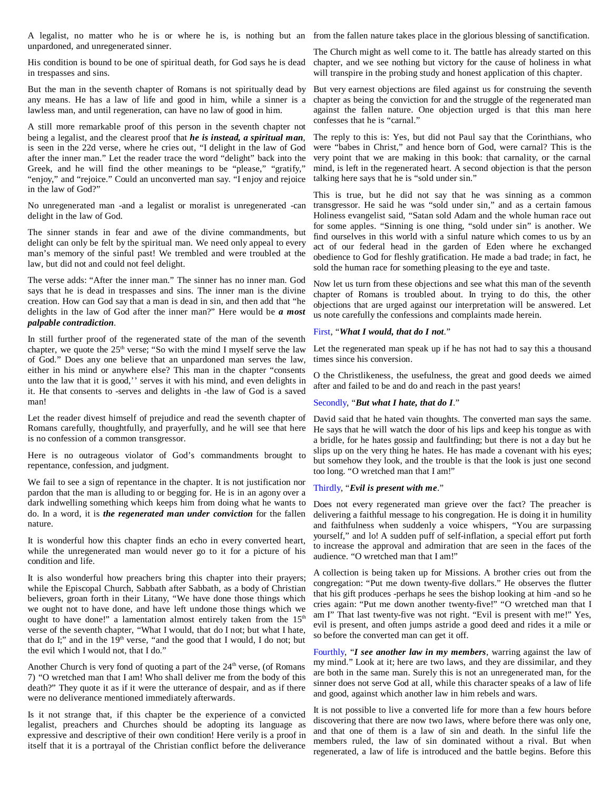A legalist, no matter who he is or where he is, is nothing but an from the fallen nature takes place in the glorious blessing of sanctification. unpardoned, and unregenerated sinner.

His condition is bound to be one of spiritual death, for God says he is dead in trespasses and sins.

But the man in the seventh chapter of Romans is not spiritually dead by any means. He has a law of life and good in him, while a sinner is a lawless man, and until regeneration, can have no law of good in him.

A still more remarkable proof of this person in the seventh chapter not being a legalist, and the clearest proof that *he is instead, a spiritual man*, is seen in the 22d verse, where he cries out, "I delight in the law of God after the inner man." Let the reader trace the word "delight" back into the Greek, and he will find the other meanings to be "please," "gratify," "enjoy," and "rejoice." Could an unconverted man say. "I enjoy and rejoice in the law of God?"

No unregenerated man -and a legalist or moralist is unregenerated -can delight in the law of God.

The sinner stands in fear and awe of the divine commandments, but delight can only be felt by the spiritual man. We need only appeal to every man's memory of the sinful past! We trembled and were troubled at the law, but did not and could not feel delight.

The verse adds: "After the inner man." The sinner has no inner man. God says that he is dead in trespasses and sins. The inner man is the divine creation. How can God say that a man is dead in sin, and then add that "he delights in the law of God after the inner man?" Here would be *a most palpable contradiction*.

In still further proof of the regenerated state of the man of the seventh chapter, we quote the  $25<sup>th</sup>$  verse; "So with the mind I myself serve the law of God." Does any one believe that an unpardoned man serves the law, either in his mind or anywhere else? This man in the chapter "consents unto the law that it is good,'' serves it with his mind, and even delights in it. He that consents to -serves and delights in -the law of God is a saved man!

Let the reader divest himself of prejudice and read the seventh chapter of David said that he hated vain thoughts. The converted man says the same. Romans carefully, thoughtfully, and prayerfully, and he will see that here is no confession of a common transgressor.

Here is no outrageous violator of God's commandments brought to repentance, confession, and judgment.

We fail to see a sign of repentance in the chapter. It is not justification nor pardon that the man is alluding to or begging for. He is in an agony over a dark indwelling something which keeps him from doing what he wants to do. In a word, it is *the regenerated man under conviction* for the fallen nature.

It is wonderful how this chapter finds an echo in every converted heart, while the unregenerated man would never go to it for a picture of his condition and life.

It is also wonderful how preachers bring this chapter into their prayers; while the Episcopal Church, Sabbath after Sabbath, as a body of Christian believers, groan forth in their Litany, "We have done those things which we ought not to have done, and have left undone those things which we ought to have done!" a lamentation almost entirely taken from the 15<sup>th</sup> verse of the seventh chapter, "What I would, that do I not; but what I hate, that do I;" and in the  $19<sup>th</sup>$  verse, "and the good that I would, I do not; but the evil which I would not, that I do."

Another Church is very fond of quoting a part of the  $24<sup>th</sup>$  verse, (of Romans 7) "O wretched man that I am! Who shall deliver me from the body of this death?" They quote it as if it were the utterance of despair, and as if there were no deliverance mentioned immediately afterwards.

Is it not strange that, if this chapter be the experience of a convicted legalist, preachers and Churches should be adopting its language as expressive and descriptive of their own condition! Here verily is a proof in itself that it is a portrayal of the Christian conflict before the deliverance

The Church might as well come to it. The battle has already started on this chapter, and we see nothing but victory for the cause of holiness in what will transpire in the probing study and honest application of this chapter.

But very earnest objections are filed against us for construing the seventh chapter as being the conviction for and the struggle of the regenerated man against the fallen nature. One objection urged is that this man here confesses that he is "carnal."

The reply to this is: Yes, but did not Paul say that the Corinthians, who were "babes in Christ," and hence born of God, were carnal? This is the very point that we are making in this book: that carnality, or the carnal mind, is left in the regenerated heart. A second objection is that the person talking here says that he is "sold under sin."

This is true, but he did not say that he was sinning as a common transgressor. He said he was "sold under sin," and as a certain famous Holiness evangelist said, "Satan sold Adam and the whole human race out for some apples. "Sinning is one thing, "sold under sin" is another. We find ourselves in this world with a sinful nature which comes to us by an act of our federal head in the garden of Eden where he exchanged obedience to God for fleshly gratification. He made a bad trade; in fact, he sold the human race for something pleasing to the eye and taste.

Now let us turn from these objections and see what this man of the seventh chapter of Romans is troubled about. In trying to do this, the other objections that are urged against our interpretation will be answered. Let us note carefully the confessions and complaints made herein.

#### First, "*What I would, that do I not*."

Let the regenerated man speak up if he has not had to say this a thousand times since his conversion.

O the Christlikeness, the usefulness, the great and good deeds we aimed after and failed to be and do and reach in the past years!

#### Secondly, "*But what I hate, that do I*."

He says that he will watch the door of his lips and keep his tongue as with a bridle, for he hates gossip and faultfinding; but there is not a day but he slips up on the very thing he hates. He has made a covenant with his eyes; but somehow they look, and the trouble is that the look is just one second too long. "O wretched man that I am!"

#### Thirdly, "*Evil is present with me*."

Does not every regenerated man grieve over the fact? The preacher is delivering a faithful message to his congregation. He is doing it in humility and faithfulness when suddenly a voice whispers, "You are surpassing yourself," and lo! A sudden puff of self-inflation, a special effort put forth to increase the approval and admiration that are seen in the faces of the audience. "O wretched man that I am!"

A collection is being taken up for Missions. A brother cries out from the congregation: "Put me down twenty-five dollars." He observes the flutter that his gift produces -perhaps he sees the bishop looking at him -and so he cries again: "Put me down another twenty-five!" "O wretched man that I am I" That last twenty-five was not right. "Evil is present with me!" Yes, evil is present, and often jumps astride a good deed and rides it a mile or so before the converted man can get it off.

Fourthly, "*I see another law in my members*, warring against the law of my mind." Look at it; here are two laws, and they are dissimilar, and they are both in the same man. Surely this is not an unregenerated man, for the sinner does not serve God at all, while this character speaks of a law of life and good, against which another law in him rebels and wars.

It is not possible to live a converted life for more than a few hours before discovering that there are now two laws, where before there was only one, and that one of them is a law of sin and death. In the sinful life the members ruled, the law of sin dominated without a rival. But when regenerated, a law of life is introduced and the battle begins. Before this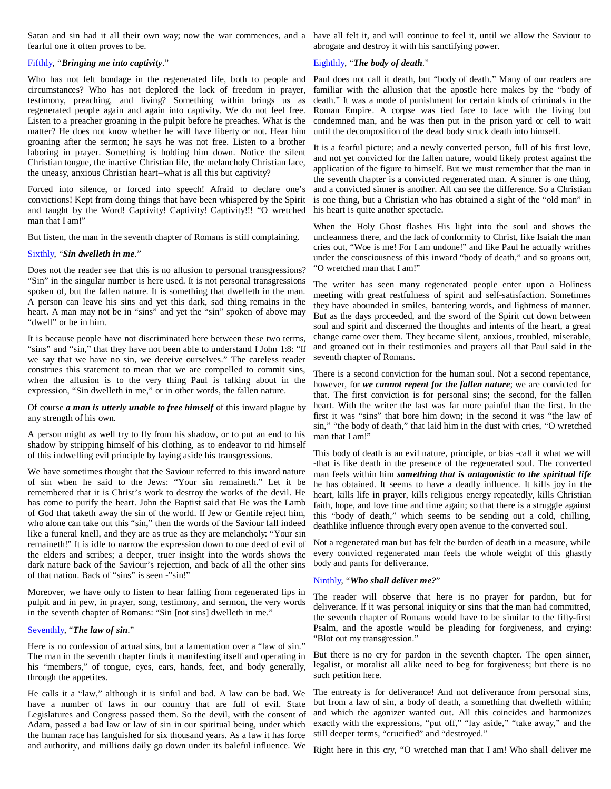Satan and sin had it all their own way; now the war commences, and a have all felt it, and will continue to feel it, until we allow the Saviour to fearful one it often proves to be.

#### Fifthly, "*Bringing me into captivity*."

Who has not felt bondage in the regenerated life, both to people and circumstances? Who has not deplored the lack of freedom in prayer, testimony, preaching, and living? Something within brings us as regenerated people again and again into captivity. We do not feel free. Listen to a preacher groaning in the pulpit before he preaches. What is the matter? He does not know whether he will have liberty or not. Hear him groaning after the sermon; he says he was not free. Listen to a brother laboring in prayer. Something is holding him down. Notice the silent Christian tongue, the inactive Christian life, the melancholy Christian face, the uneasy, anxious Christian heart--what is all this but captivity?

Forced into silence, or forced into speech! Afraid to declare one's convictions! Kept from doing things that have been whispered by the Spirit and taught by the Word! Captivity! Captivity! Captivity!!! "O wretched man that I am!"

But listen, the man in the seventh chapter of Romans is still complaining.

#### Sixthly, "*Sin dwelleth in me*."

Does not the reader see that this is no allusion to personal transgressions? "Sin" in the singular number is here used. It is not personal transgressions spoken of, but the fallen nature. It is something that dwelleth in the man. A person can leave his sins and yet this dark, sad thing remains in the heart. A man may not be in "sins" and yet the "sin" spoken of above may "dwell" or be in him.

It is because people have not discriminated here between these two terms, "sins" and "sin," that they have not been able to understand I John 1:8: "If we say that we have no sin, we deceive ourselves." The careless reader construes this statement to mean that we are compelled to commit sins, when the allusion is to the very thing Paul is talking about in the expression, "Sin dwelleth in me," or in other words, the fallen nature.

#### Of course *a man is utterly unable to free himself* of this inward plague by any strength of his own.

A person might as well try to fly from his shadow, or to put an end to his shadow by stripping himself of his clothing, as to endeavor to rid himself of this indwelling evil principle by laying aside his transgressions.

We have sometimes thought that the Saviour referred to this inward nature of sin when he said to the Jews: "Your sin remaineth." Let it be remembered that it is Christ's work to destroy the works of the devil. He has come to purify the heart. John the Baptist said that He was the Lamb of God that taketh away the sin of the world. If Jew or Gentile reject him, who alone can take out this "sin," then the words of the Saviour fall indeed like a funeral knell, and they are as true as they are melancholy: "Your sin remaineth!" It is idle to narrow the expression down to one deed of evil of the elders and scribes; a deeper, truer insight into the words shows the dark nature back of the Saviour's rejection, and back of all the other sins of that nation. Back of "sins" is seen -"sin!"

Moreover, we have only to listen to hear falling from regenerated lips in pulpit and in pew, in prayer, song, testimony, and sermon, the very words in the seventh chapter of Romans: "Sin [not sins] dwelleth in me."

#### Seventhly, "*The law of sin*."

Here is no confession of actual sins, but a lamentation over a "law of sin." The man in the seventh chapter finds it manifesting itself and operating in his "members," of tongue, eyes, ears, hands, feet, and body generally, through the appetites.

He calls it a "law," although it is sinful and bad. A law can be bad. We have a number of laws in our country that are full of evil. State Legislatures and Congress passed them. So the devil, with the consent of Adam, passed a bad law or law of sin in our spiritual being, under which the human race has languished for six thousand years. As a law it has force and authority, and millions daily go down under its baleful influence. We

abrogate and destroy it with his sanctifying power.

#### Eighthly, "*The body of death*."

Paul does not call it death, but "body of death." Many of our readers are familiar with the allusion that the apostle here makes by the "body of death." It was a mode of punishment for certain kinds of criminals in the Roman Empire. A corpse was tied face to face with the living but condemned man, and he was then put in the prison yard or cell to wait until the decomposition of the dead body struck death into himself.

It is a fearful picture; and a newly converted person, full of his first love, and not yet convicted for the fallen nature, would likely protest against the application of the figure to himself. But we must remember that the man in the seventh chapter is a convicted regenerated man. A sinner is one thing, and a convicted sinner is another. All can see the difference. So a Christian is one thing, but a Christian who has obtained a sight of the "old man" in his heart is quite another spectacle.

When the Holy Ghost flashes His light into the soul and shows the uncleanness there, and the lack of conformity to Christ, like Isaiah the man cries out, "Woe is me! For I am undone!" and like Paul he actually writhes under the consciousness of this inward "body of death," and so groans out, "O wretched man that I am!"

The writer has seen many regenerated people enter upon a Holiness meeting with great restfulness of spirit and self-satisfaction. Sometimes they have abounded in smiles, bantering words, and lightness of manner. But as the days proceeded, and the sword of the Spirit cut down between soul and spirit and discerned the thoughts and intents of the heart, a great change came over them. They became silent, anxious, troubled, miserable, and groaned out in their testimonies and prayers all that Paul said in the seventh chapter of Romans.

There is a second conviction for the human soul. Not a second repentance, however, for *we cannot repent for the fallen nature*; we are convicted for that. The first conviction is for personal sins; the second, for the fallen heart. With the writer the last was far more painful than the first. In the first it was "sins" that bore him down; in the second it was "the law of sin," "the body of death," that laid him in the dust with cries, "O wretched man that I am!"

This body of death is an evil nature, principle, or bias -call it what we will -that is like death in the presence of the regenerated soul. The converted man feels within him *something that is antagonistic to the spiritual life* he has obtained. It seems to have a deadly influence. It kills joy in the heart, kills life in prayer, kills religious energy repeatedly, kills Christian faith, hope, and love time and time again; so that there is a struggle against this "body of death," which seems to be sending out a cold, chilling, deathlike influence through every open avenue to the converted soul.

Not a regenerated man but has felt the burden of death in a measure, while every convicted regenerated man feels the whole weight of this ghastly body and pants for deliverance.

#### Ninthly, "*Who shall deliver me?*"

The reader will observe that here is no prayer for pardon, but for deliverance. If it was personal iniquity or sins that the man had committed, the seventh chapter of Romans would have to be similar to the fifty-first Psalm, and the apostle would be pleading for forgiveness, and crying: "Blot out my transgression."

But there is no cry for pardon in the seventh chapter. The open sinner, legalist, or moralist all alike need to beg for forgiveness; but there is no such petition here.

The entreaty is for deliverance! And not deliverance from personal sins, but from a law of sin, a body of death, a something that dwelleth within; and which the agonizer wanted out. All this coincides and harmonizes exactly with the expressions, "put off," "lay aside," "take away," and the still deeper terms, "crucified" and "destroyed."

Right here in this cry, "O wretched man that I am! Who shall deliver me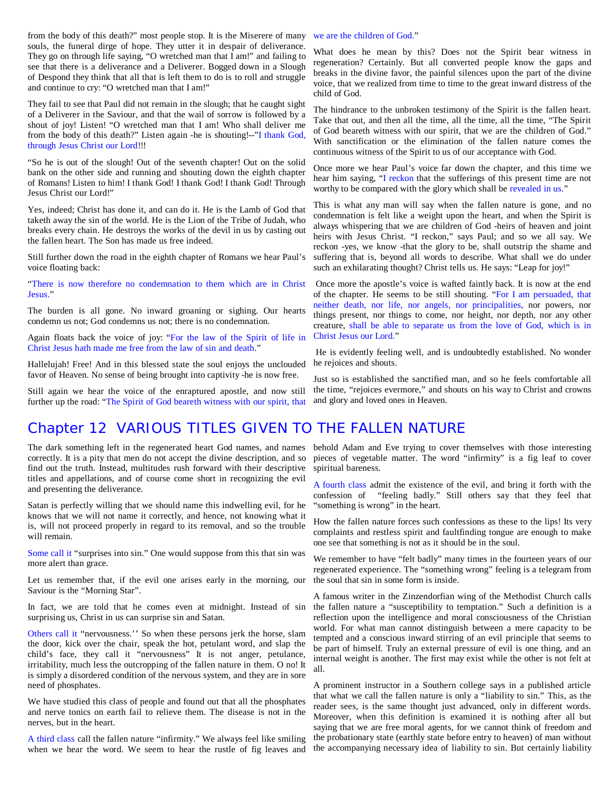from the body of this death?" most people stop. It is the Miserere of many we are the children of God." souls, the funeral dirge of hope. They utter it in despair of deliverance. They go on through life saying, "O wretched man that I am!" and failing to see that there is a deliverance and a Deliverer. Bogged down in a Slough of Despond they think that all that is left them to do is to roll and struggle and continue to cry: "O wretched man that I am!"

They fail to see that Paul did not remain in the slough; that he caught sight of a Deliverer in the Saviour, and that the wail of sorrow is followed by a shout of joy! Listen! "O wretched man that I am! Who shall deliver me from the body of this death?" Listen again -he is shouting!--"I thank God, through Jesus Christ our Lord!!!

"So he is out of the slough! Out of the seventh chapter! Out on the solid bank on the other side and running and shouting down the eighth chapter of Romans! Listen to him! I thank God! I thank God! I thank God! Through Jesus Christ our Lord!"

Yes, indeed; Christ has done it, and can do it. He is the Lamb of God that taketh away the sin of the world. He is the Lion of the Tribe of Judah, who breaks every chain. He destroys the works of the devil in us by casting out the fallen heart. The Son has made us free indeed.

Still further down the road in the eighth chapter of Romans we hear Paul's voice floating back:

"There is now therefore no condemnation to them which are in Christ Jesus."

The burden is all gone. No inward groaning or sighing. Our hearts condemn us not; God condemns us not; there is no condemnation.

Again floats back the voice of joy: "For the law of the Spirit of life in Christ Jesus hath made me free from the law of sin and death."

Hallelujah! Free! And in this blessed state the soul enjoys the unclouded favor of Heaven. No sense of being brought into captivity -he is now free.

Still again we hear the voice of the enraptured apostle, and now still further up the road: "The Spirit of God beareth witness with our spirit, that

What does he mean by this? Does not the Spirit bear witness in regeneration? Certainly. But all converted people know the gaps and breaks in the divine favor, the painful silences upon the part of the divine voice, that we realized from time to time to the great inward distress of the child of God.

The hindrance to the unbroken testimony of the Spirit is the fallen heart. Take that out, and then all the time, all the time, all the time, "The Spirit of God beareth witness with our spirit, that we are the children of God." With sanctification or the elimination of the fallen nature comes the continuous witness of the Spirit to us of our acceptance with God.

Once more we hear Paul's voice far down the chapter, and this time we hear him saying, "I reckon that the sufferings of this present time are not worthy to be compared with the glory which shall be revealed in us."

This is what any man will say when the fallen nature is gone, and no condemnation is felt like a weight upon the heart, and when the Spirit is always whispering that we are children of God -heirs of heaven and joint heirs with Jesus Christ. "I reckon," says Paul; and so we all say. We reckon -yes, we know -that the glory to be, shall outstrip the shame and suffering that is, beyond all words to describe. What shall we do under such an exhilarating thought? Christ tells us. He says: "Leap for joy!"

Once more the apostle's voice is wafted faintly back. It is now at the end of the chapter. He seems to be still shouting. "For I am persuaded, that neither death, nor life, nor angels, nor principalities, nor powers, nor things present, nor things to come, nor height, nor depth, nor any other creature, shall be able to separate us from the love of God, which is in Christ Jesus our Lord."

He is evidently feeling well, and is undoubtedly established. No wonder he rejoices and shouts.

Just so is established the sanctified man, and so he feels comfortable all the time, "rejoices evermore," and shouts on his way to Christ and crowns and glory and loved ones in Heaven.

### Chapter 12 VARIOUS TITLES GIVEN TO THE FALLEN NATURE

The dark something left in the regenerated heart God names, and names correctly. It is a pity that men do not accept the divine description, and so find out the truth. Instead, multitudes rush forward with their descriptive titles and appellations, and of course come short in recognizing the evil and presenting the deliverance.

Satan is perfectly willing that we should name this indwelling evil, for he knows that we will not name it correctly, and hence, not knowing what it is, will not proceed properly in regard to its removal, and so the trouble will remain.

Some call it "surprises into sin." One would suppose from this that sin was more alert than grace.

Let us remember that, if the evil one arises early in the morning, our Saviour is the "Morning Star".

In fact, we are told that he comes even at midnight. Instead of sin surprising us, Christ in us can surprise sin and Satan.

Others call it "nervousness.'' So when these persons jerk the horse, slam the door, kick over the chair, speak the hot, petulant word, and slap the child's face, they call it "nervousness" It is not anger, petulance, irritability, much less the outcropping of the fallen nature in them. O no! It is simply a disordered condition of the nervous system, and they are in sore need of phosphates.

We have studied this class of people and found out that all the phosphates and nerve tonics on earth fail to relieve them. The disease is not in the nerves, but in the heart.

A third class call the fallen nature "infirmity." We always feel like smiling when we hear the word. We seem to hear the rustle of fig leaves and

behold Adam and Eve trying to cover themselves with those interesting pieces of vegetable matter. The word "infirmity" is a fig leaf to cover spiritual bareness.

A fourth class admit the existence of the evil, and bring it forth with the confession of "feeling badly." Still others say that they feel that "something is wrong" in the heart.

How the fallen nature forces such confessions as these to the lips! Its very complaints and restless spirit and faultfinding tongue are enough to make one see that something is not as it should be in the soul.

We remember to have "felt badly" many times in the fourteen years of our regenerated experience. The "something wrong" feeling is a telegram from the soul that sin in some form is inside.

A famous writer in the Zinzendorfian wing of the Methodist Church calls the fallen nature a "susceptibility to temptation." Such a definition is a reflection upon the intelligence and moral consciousness of the Christian world. For what man cannot distinguish between a mere capacity to be tempted and a conscious inward stirring of an evil principle that seems to be part of himself. Truly an external pressure of evil is one thing, and an internal weight is another. The first may exist while the other is not felt at all.

A prominent instructor in a Southern college says in a published article that what we call the fallen nature is only a "liability to sin." This, as the reader sees, is the same thought just advanced, only in different words. Moreover, when this definition is examined it is nothing after all but saying that we are free moral agents, for we cannot think of freedom and the probationary state (earthly state before entry to heaven) of man without the accompanying necessary idea of liability to sin. But certainly liability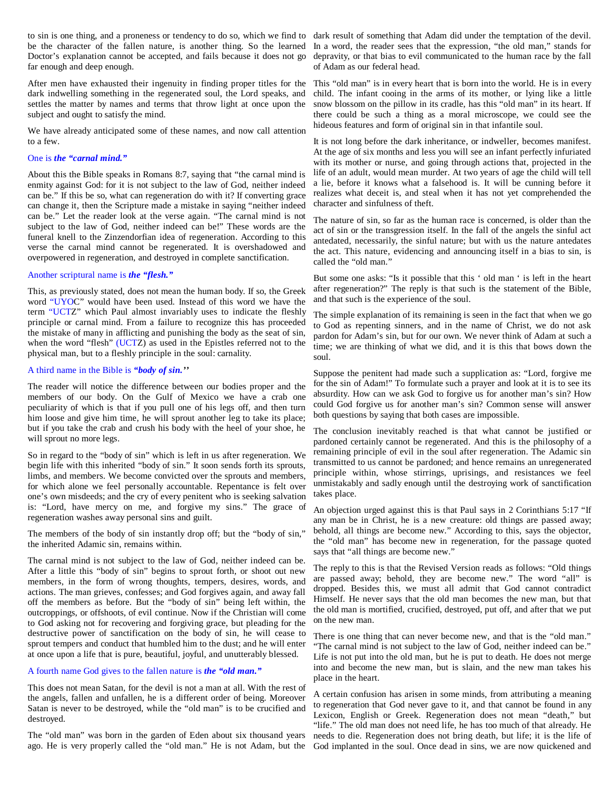be the character of the fallen nature, is another thing. So the learned In a word, the reader sees that the expression, "the old man," stands for Doctor's explanation cannot be accepted, and fails because it does not go far enough and deep enough.

After men have exhausted their ingenuity in finding proper titles for the dark indwelling something in the regenerated soul, the Lord speaks, and settles the matter by names and terms that throw light at once upon the subject and ought to satisfy the mind.

We have already anticipated some of these names, and now call attention to a few.

#### One is *the "carnal mind."*

About this the Bible speaks in Romans 8:7, saying that "the carnal mind is enmity against God: for it is not subject to the law of God, neither indeed can be." If this be so, what can regeneration do with it? If converting grace can change it, then the Scripture made a mistake in saying "neither indeed can be." Let the reader look at the verse again. "The carnal mind is not subject to the law of God, neither indeed can be!" These words are the funeral knell to the Zinzendorfian idea of regeneration. According to this verse the carnal mind cannot be regenerated. It is overshadowed and overpowered in regeneration, and destroyed in complete sanctification.

#### Another scriptural name is *the "flesh."*

This, as previously stated, does not mean the human body. If so, the Greek word "UYOC" would have been used. Instead of this word we have the term "UCTZ" which Paul almost invariably uses to indicate the fleshly principle or carnal mind. From a failure to recognize this has proceeded the mistake of many in afflicting and punishing the body as the seat of sin, when the word "flesh" (UCTZ) as used in the Epistles referred not to the physical man, but to a fleshly principle in the soul: carnality.

#### A third name in the Bible is *"body of sin.''*

The reader will notice the difference between our bodies proper and the members of our body. On the Gulf of Mexico we have a crab one peculiarity of which is that if you pull one of his legs off, and then turn him loose and give him time, he will sprout another leg to take its place; but if you take the crab and crush his body with the heel of your shoe, he will sprout no more legs.

So in regard to the "body of sin" which is left in us after regeneration. We begin life with this inherited "body of sin." It soon sends forth its sprouts, limbs, and members. We become convicted over the sprouts and members, for which alone we feel personally accountable. Repentance is felt over one's own misdeeds; and the cry of every penitent who is seeking salvation is: "Lord, have mercy on me, and forgive my sins." The grace of regeneration washes away personal sins and guilt.

The members of the body of sin instantly drop off; but the "body of sin," the inherited Adamic sin, remains within.

The carnal mind is not subject to the law of God, neither indeed can be. After a little this "body of sin" begins to sprout forth, or shoot out new members, in the form of wrong thoughts, tempers, desires, words, and actions. The man grieves, confesses; and God forgives again, and away fall off the members as before. But the "body of sin" being left within, the outcroppings, or offshoots, of evil continue. Now if the Christian will come to God asking not for recovering and forgiving grace, but pleading for the destructive power of sanctification on the body of sin, he will cease to sprout tempers and conduct that humbled him to the dust; and he will enter at once upon a life that is pure, beautiful, joyful, and unutterably blessed.

#### A fourth name God gives to the fallen nature is *the "old man."*

This does not mean Satan, for the devil is not a man at all. With the rest of the angels, fallen and unfallen, he is a different order of being. Moreover Satan is never to be destroyed, while the "old man" is to be crucified and destroyed.

The "old man" was born in the garden of Eden about six thousand years ago. He is very properly called the "old man." He is not Adam, but the God implanted in the soul. Once dead in sins, we are now quickened and

to sin is one thing, and a proneness or tendency to do so, which we find to dark result of something that Adam did under the temptation of the devil. depravity, or that bias to evil communicated to the human race by the fall of Adam as our federal head.

> This "old man" is in every heart that is born into the world. He is in every child. The infant cooing in the arms of its mother, or lying like a little snow blossom on the pillow in its cradle, has this "old man" in its heart. If there could be such a thing as a moral microscope, we could see the hideous features and form of original sin in that infantile soul.

> It is not long before the dark inheritance, or indweller, becomes manifest. At the age of six months and less you will see an infant perfectly infuriated with its mother or nurse, and going through actions that, projected in the life of an adult, would mean murder. At two years of age the child will tell a lie, before it knows what a falsehood is. It will be cunning before it realizes what deceit is, and steal when it has not yet comprehended the character and sinfulness of theft.

> The nature of sin, so far as the human race is concerned, is older than the act of sin or the transgression itself. In the fall of the angels the sinful act antedated, necessarily, the sinful nature; but with us the nature antedates the act. This nature, evidencing and announcing itself in a bias to sin, is called the "old man."

> But some one asks: "Is it possible that this ' old man ' is left in the heart after regeneration?" The reply is that such is the statement of the Bible, and that such is the experience of the soul.

> The simple explanation of its remaining is seen in the fact that when we go to God as repenting sinners, and in the name of Christ, we do not ask pardon for Adam's sin, but for our own. We never think of Adam at such a time; we are thinking of what we did, and it is this that bows down the soul.

> Suppose the penitent had made such a supplication as: "Lord, forgive me for the sin of Adam!" To formulate such a prayer and look at it is to see its absurdity. How can we ask God to forgive us for another man's sin? How could God forgive us for another man's sin? Common sense will answer both questions by saying that both cases are impossible.

> The conclusion inevitably reached is that what cannot be justified or pardoned certainly cannot be regenerated. And this is the philosophy of a remaining principle of evil in the soul after regeneration. The Adamic sin transmitted to us cannot be pardoned; and hence remains an unregenerated principle within, whose stirrings, uprisings, and resistances we feel unmistakably and sadly enough until the destroying work of sanctification takes place.

> An objection urged against this is that Paul says in 2 Corinthians 5:17 "If any man be in Christ, he is a new creature: old things are passed away; behold, all things are become new." According to this, says the objector, the "old man" has become new in regeneration, for the passage quoted says that "all things are become new."

> The reply to this is that the Revised Version reads as follows: "Old things are passed away; behold, they are become new." The word "all" is dropped. Besides this, we must all admit that God cannot contradict Himself. He never says that the old man becomes the new man, but that the old man is mortified, crucified, destroyed, put off, and after that we put on the new man.

> There is one thing that can never become new, and that is the "old man." "The carnal mind is not subject to the law of God, neither indeed can be." Life is not put into the old man, but he is put to death. He does not merge into and become the new man, but is slain, and the new man takes his place in the heart.

> A certain confusion has arisen in some minds, from attributing a meaning to regeneration that God never gave to it, and that cannot be found in any Lexicon, English or Greek. Regeneration does not mean "death," but "life." The old man does not need life, he has too much of that already. He needs to die. Regeneration does not bring death, but life; it is the life of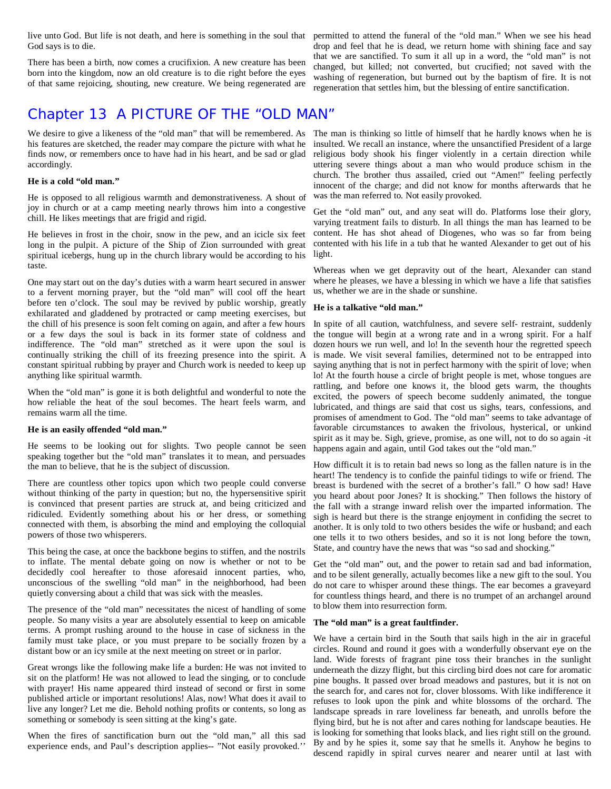God says is to die.

There has been a birth, now comes a crucifixion. A new creature has been born into the kingdom, now an old creature is to die right before the eyes of that same rejoicing, shouting, new creature. We being regenerated are

### Chapter 13 A PICTURE OF THE "OLD MAN"

We desire to give a likeness of the "old man" that will be remembered. As The man is thinking so little of himself that he hardly knows when he is his features are sketched, the reader may compare the picture with what he finds now, or remembers once to have had in his heart, and be sad or glad accordingly.

#### **He is a cold "old man."**

He is opposed to all religious warmth and demonstrativeness. A shout of joy in church or at a camp meeting nearly throws him into a congestive chill. He likes meetings that are frigid and rigid.

He believes in frost in the choir, snow in the pew, and an icicle six feet long in the pulpit. A picture of the Ship of Zion surrounded with great spiritual icebergs, hung up in the church library would be according to his taste.

One may start out on the day's duties with a warm heart secured in answer to a fervent morning prayer, but the "old man" will cool off the heart before ten o'clock. The soul may be revived by public worship, greatly exhilarated and gladdened by protracted or camp meeting exercises, but the chill of his presence is soon felt coming on again, and after a few hours or a few days the soul is back in its former state of coldness and indifference. The "old man" stretched as it were upon the soul is continually striking the chill of its freezing presence into the spirit. A constant spiritual rubbing by prayer and Church work is needed to keep up anything like spiritual warmth.

When the "old man" is gone it is both delightful and wonderful to note the how reliable the heat of the soul becomes. The heart feels warm, and remains warm all the time.

#### **He is an easily offended "old man."**

He seems to be looking out for slights. Two people cannot be seen speaking together but the "old man" translates it to mean, and persuades the man to believe, that he is the subject of discussion.

There are countless other topics upon which two people could converse without thinking of the party in question; but no, the hypersensitive spirit is convinced that present parties are struck at, and being criticized and ridiculed. Evidently something about his or her dress, or something connected with them, is absorbing the mind and employing the colloquial powers of those two whisperers.

This being the case, at once the backbone begins to stiffen, and the nostrils to inflate. The mental debate going on now is whether or not to be decidedly cool hereafter to those aforesaid innocent parties, who, unconscious of the swelling "old man" in the neighborhood, had been quietly conversing about a child that was sick with the measles.

The presence of the "old man" necessitates the nicest of handling of some people. So many visits a year are absolutely essential to keep on amicable terms. A prompt rushing around to the house in case of sickness in the family must take place, or you must prepare to be socially frozen by a distant bow or an icy smile at the next meeting on street or in parlor.

Great wrongs like the following make life a burden: He was not invited to sit on the platform! He was not allowed to lead the singing, or to conclude with prayer! His name appeared third instead of second or first in some published article or important resolutions! Alas, now! What does it avail to live any longer? Let me die. Behold nothing profits or contents, so long as something or somebody is seen sitting at the king's gate.

When the fires of sanctification burn out the "old man," all this sad experience ends, and Paul's description applies-- "Not easily provoked.''

live unto God. But life is not death, and here is something in the soul that permitted to attend the funeral of the "old man." When we see his head drop and feel that he is dead, we return home with shining face and say that we are sanctified. To sum it all up in a word, the "old man" is not changed, but killed; not converted, but crucified; not saved with the washing of regeneration, but burned out by the baptism of fire. It is not regeneration that settles him, but the blessing of entire sanctification.

> insulted. We recall an instance, where the unsanctified President of a large religious body shook his finger violently in a certain direction while uttering severe things about a man who would produce schism in the church. The brother thus assailed, cried out "Amen!" feeling perfectly innocent of the charge; and did not know for months afterwards that he was the man referred to. Not easily provoked.

> Get the "old man" out, and any seat will do. Platforms lose their glory, varying treatment fails to disturb. In all things the man has learned to be content. He has shot ahead of Diogenes, who was so far from being contented with his life in a tub that he wanted Alexander to get out of his light.

> Whereas when we get depravity out of the heart, Alexander can stand where he pleases, we have a blessing in which we have a life that satisfies us, whether we are in the shade or sunshine.

#### **He is a talkative "old man."**

In spite of all caution, watchfulness, and severe self- restraint, suddenly the tongue will begin at a wrong rate and in a wrong spirit. For a half dozen hours we run well, and lo! In the seventh hour the regretted speech is made. We visit several families, determined not to be entrapped into saying anything that is not in perfect harmony with the spirit of love; when lo! At the fourth house a circle of bright people is met, whose tongues are rattling, and before one knows it, the blood gets warm, the thoughts excited, the powers of speech become suddenly animated, the tongue lubricated, and things are said that cost us sighs, tears, confessions, and promises of amendment to God. The "old man" seems to take advantage of favorable circumstances to awaken the frivolous, hysterical, or unkind spirit as it may be. Sigh, grieve, promise, as one will, not to do so again -it happens again and again, until God takes out the "old man."

How difficult it is to retain bad news so long as the fallen nature is in the heart! The tendency is to confide the painful tidings to wife or friend. The breast is burdened with the secret of a brother's fall." O how sad! Have you heard about poor Jones? It is shocking." Then follows the history of the fall with a strange inward relish over the imparted information. The sigh is heard but there is the strange enjoyment in confiding the secret to another. It is only told to two others besides the wife or husband; and each one tells it to two others besides, and so it is not long before the town, State, and country have the news that was "so sad and shocking."

Get the "old man" out, and the power to retain sad and bad information, and to be silent generally, actually becomes like a new gift to the soul. You do not care to whisper around these things. The ear becomes a graveyard for countless things heard, and there is no trumpet of an archangel around to blow them into resurrection form.

#### **The "old man" is a great faultfinder.**

We have a certain bird in the South that sails high in the air in graceful circles. Round and round it goes with a wonderfully observant eye on the land. Wide forests of fragrant pine toss their branches in the sunlight underneath the dizzy flight, but this circling bird does not care for aromatic pine boughs. It passed over broad meadows and pastures, but it is not on the search for, and cares not for, clover blossoms. With like indifference it refuses to look upon the pink and white blossoms of the orchard. The landscape spreads in rare loveliness far beneath, and unrolls before the flying bird, but he is not after and cares nothing for landscape beauties. He is looking for something that looks black, and lies right still on the ground. By and by he spies it, some say that he smells it. Anyhow he begins to descend rapidly in spiral curves nearer and nearer until at last with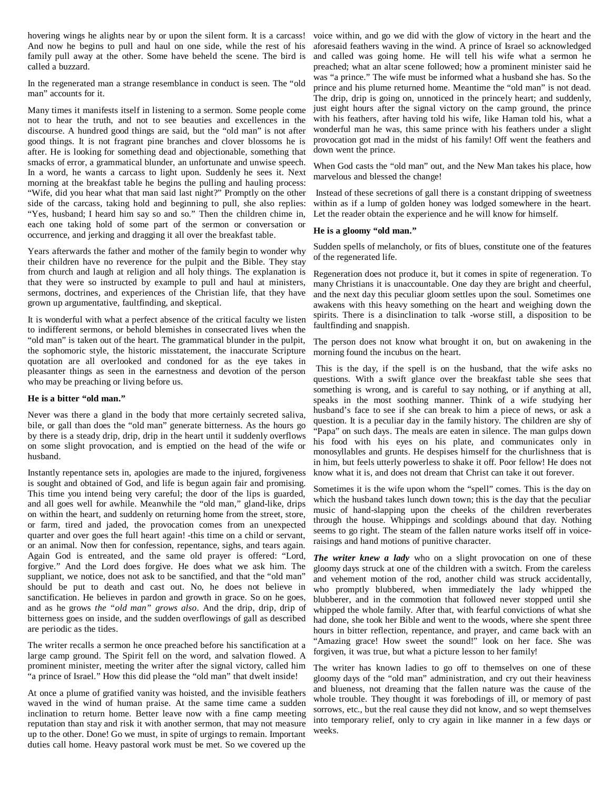And now he begins to pull and haul on one side, while the rest of his family pull away at the other. Some have beheld the scene. The bird is called a buzzard.

In the regenerated man a strange resemblance in conduct is seen. The "old man" accounts for it.

Many times it manifests itself in listening to a sermon. Some people come not to hear the truth, and not to see beauties and excellences in the discourse. A hundred good things are said, but the "old man" is not after good things. It is not fragrant pine branches and clover blossoms he is after. He is looking for something dead and objectionable, something that smacks of error, a grammatical blunder, an unfortunate and unwise speech. In a word, he wants a carcass to light upon. Suddenly he sees it. Next morning at the breakfast table he begins the pulling and hauling process: "Wife, did you hear what that man said last night?" Promptly on the other side of the carcass, taking hold and beginning to pull, she also replies: "Yes, husband; I heard him say so and so." Then the children chime in, each one taking hold of some part of the sermon or conversation or occurrence, and jerking and dragging it all over the breakfast table.

Years afterwards the father and mother of the family begin to wonder why their children have no reverence for the pulpit and the Bible. They stay from church and laugh at religion and all holy things. The explanation is that they were so instructed by example to pull and haul at ministers, sermons, doctrines, and experiences of the Christian life, that they have grown up argumentative, faultfinding, and skeptical.

It is wonderful with what a perfect absence of the critical faculty we listen to indifferent sermons, or behold blemishes in consecrated lives when the "old man" is taken out of the heart. The grammatical blunder in the pulpit, the sophomoric style, the historic misstatement, the inaccurate Scripture quotation are all overlooked and condoned for as the eye takes in pleasanter things as seen in the earnestness and devotion of the person who may be preaching or living before us.

#### **He is a bitter "old man."**

Never was there a gland in the body that more certainly secreted saliva, bile, or gall than does the "old man" generate bitterness. As the hours go by there is a steady drip, drip, drip in the heart until it suddenly overflows on some slight provocation, and is emptied on the head of the wife or husband.

Instantly repentance sets in, apologies are made to the injured, forgiveness is sought and obtained of God, and life is begun again fair and promising. This time you intend being very careful; the door of the lips is guarded, and all goes well for awhile. Meanwhile the "old man," gland-like, drips on within the heart, and suddenly on returning home from the street, store, or farm, tired and jaded, the provocation comes from an unexpected quarter and over goes the full heart again! -this time on a child or servant, or an animal. Now then for confession, repentance, sighs, and tears again. Again God is entreated, and the same old prayer is offered: "Lord, forgive." And the Lord does forgive. He does what we ask him. The suppliant, we notice, does not ask to be sanctified, and that the "old man" should be put to death and cast out. No, he does not believe in sanctification. He believes in pardon and growth in grace. So on he goes, and as he grows *the "old man" grows also*. And the drip, drip, drip of bitterness goes on inside, and the sudden overflowings of gall as described are periodic as the tides.

The writer recalls a sermon he once preached before his sanctification at a large camp ground. The Spirit fell on the word, and salvation flowed. A prominent minister, meeting the writer after the signal victory, called him "a prince of Israel." How this did please the "old man" that dwelt inside!

At once a plume of gratified vanity was hoisted, and the invisible feathers waved in the wind of human praise. At the same time came a sudden inclination to return home. Better leave now with a fine camp meeting reputation than stay and risk it with another sermon, that may not measure up to the other. Done! Go we must, in spite of urgings to remain. Important duties call home. Heavy pastoral work must be met. So we covered up the

hovering wings he alights near by or upon the silent form. It is a carcass! voice within, and go we did with the glow of victory in the heart and the aforesaid feathers waving in the wind. A prince of Israel so acknowledged and called was going home. He will tell his wife what a sermon he preached; what an altar scene followed; how a prominent minister said he was "a prince." The wife must be informed what a husband she has. So the prince and his plume returned home. Meantime the "old man" is not dead. The drip, drip is going on, unnoticed in the princely heart; and suddenly, just eight hours after the signal victory on the camp ground, the prince with his feathers, after having told his wife, like Haman told his, what a wonderful man he was, this same prince with his feathers under a slight provocation got mad in the midst of his family! Off went the feathers and down went the prince.

> When God casts the "old man" out, and the New Man takes his place, how marvelous and blessed the change!

> Instead of these secretions of gall there is a constant dripping of sweetness within as if a lump of golden honey was lodged somewhere in the heart. Let the reader obtain the experience and he will know for himself.

#### **He is a gloomy "old man."**

Sudden spells of melancholy, or fits of blues, constitute one of the features of the regenerated life.

Regeneration does not produce it, but it comes in spite of regeneration. To many Christians it is unaccountable. One day they are bright and cheerful, and the next day this peculiar gloom settles upon the soul. Sometimes one awakens with this heavy something on the heart and weighing down the spirits. There is a disinclination to talk -worse still, a disposition to be faultfinding and snappish.

The person does not know what brought it on, but on awakening in the morning found the incubus on the heart.

This is the day, if the spell is on the husband, that the wife asks no questions. With a swift glance over the breakfast table she sees that something is wrong, and is careful to say nothing, or if anything at all, speaks in the most soothing manner. Think of a wife studying her husband's face to see if she can break to him a piece of news, or ask a question. It is a peculiar day in the family history. The children are shy of "Papa" on such days. The meals are eaten in silence. The man gulps down his food with his eyes on his plate, and communicates only in monosyllables and grunts. He despises himself for the churlishness that is in him, but feels utterly powerless to shake it off. Poor fellow! He does not know what it is, and does not dream that Christ can take it out forever.

Sometimes it is the wife upon whom the "spell" comes. This is the day on which the husband takes lunch down town; this is the day that the peculiar music of hand-slapping upon the cheeks of the children reverberates through the house. Whippings and scoldings abound that day. Nothing seems to go right. The steam of the fallen nature works itself off in voiceraisings and hand motions of punitive character.

*The writer knew a lady* who on a slight provocation on one of these gloomy days struck at one of the children with a switch. From the careless and vehement motion of the rod, another child was struck accidentally, who promptly blubbered, when immediately the lady whipped the blubberer, and in the commotion that followed never stopped until she whipped the whole family. After that, with fearful convictions of what she had done, she took her Bible and went to the woods, where she spent three hours in bitter reflection, repentance, and prayer, and came back with an "Amazing grace! How sweet the sound!" look on her face. She was forgiven, it was true, but what a picture lesson to her family!

The writer has known ladies to go off to themselves on one of these gloomy days of the "old man" administration, and cry out their heaviness and blueness, not dreaming that the fallen nature was the cause of the whole trouble. They thought it was forebodings of ill, or memory of past sorrows, etc., but the real cause they did not know, and so wept themselves into temporary relief, only to cry again in like manner in a few days or weeks.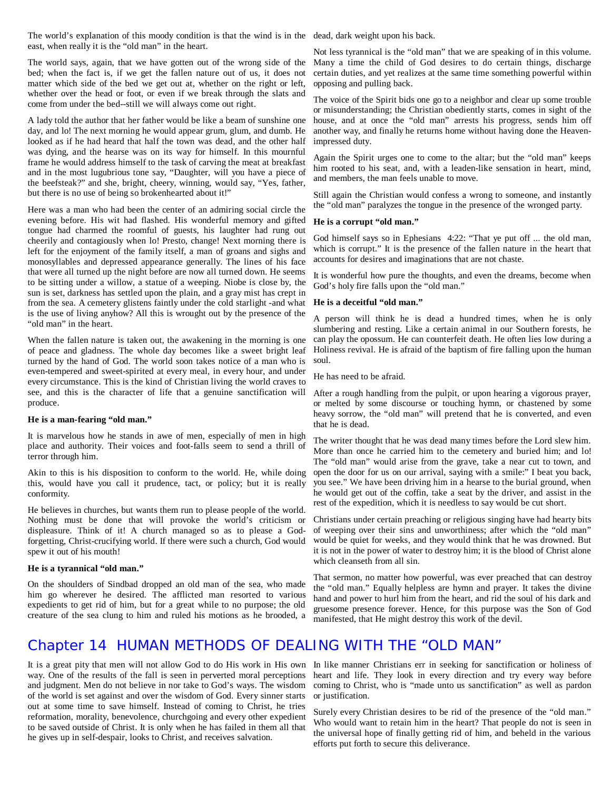The world's explanation of this moody condition is that the wind is in the dead, dark weight upon his back. east, when really it is the "old man" in the heart.

The world says, again, that we have gotten out of the wrong side of the bed; when the fact is, if we get the fallen nature out of us, it does not matter which side of the bed we get out at, whether on the right or left, whether over the head or foot, or even if we break through the slats and come from under the bed--still we will always come out right.

A lady told the author that her father would be like a beam of sunshine one day, and lo! The next morning he would appear grum, glum, and dumb. He looked as if he had heard that half the town was dead, and the other half was dying, and the hearse was on its way for himself. In this mournful frame he would address himself to the task of carving the meat at breakfast and in the most lugubrious tone say, "Daughter, will you have a piece of the beefsteak?" and she, bright, cheery, winning, would say, "Yes, father, but there is no use of being so brokenhearted about it!"

Here was a man who had been the center of an admiring social circle the evening before. His wit had flashed. His wonderful memory and gifted tongue had charmed the roomful of guests, his laughter had rung out cheerily and contagiously when lo! Presto, change! Next morning there is left for the enjoyment of the family itself, a man of groans and sighs and monosyllables and depressed appearance generally. The lines of his face that were all turned up the night before are now all turned down. He seems to be sitting under a willow, a statue of a weeping. Niobe is close by, the sun is set, darkness has settled upon the plain, and a gray mist has crept in from the sea. A cemetery glistens faintly under the cold starlight -and what **He is a deceitful "old man."** is the use of living anyhow? All this is wrought out by the presence of the "old man" in the heart.

When the fallen nature is taken out, the awakening in the morning is one of peace and gladness. The whole day becomes like a sweet bright leaf turned by the hand of God. The world soon takes notice of a man who is even-tempered and sweet-spirited at every meal, in every hour, and under every circumstance. This is the kind of Christian living the world craves to see, and this is the character of life that a genuine sanctification will After a rough handling from the pulpit, or upon hearing a vigorous prayer, produce.

### **He is a man-fearing "old man."**

It is marvelous how he stands in awe of men, especially of men in high place and authority. Their voices and foot-falls seem to send a thrill of terror through him.

Akin to this is his disposition to conform to the world. He, while doing this, would have you call it prudence, tact, or policy; but it is really conformity.

He believes in churches, but wants them run to please people of the world. Nothing must be done that will provoke the world's criticism or displeasure. Think of it! A church managed so as to please a Godforgetting, Christ-crucifying world. If there were such a church, God would spew it out of his mouth!

#### **He is a tyrannical "old man."**

On the shoulders of Sindbad dropped an old man of the sea, who made him go wherever he desired. The afflicted man resorted to various expedients to get rid of him, but for a great while to no purpose; the old creature of the sea clung to him and ruled his motions as he brooded, a

Not less tyrannical is the "old man" that we are speaking of in this volume. Many a time the child of God desires to do certain things, discharge certain duties, and yet realizes at the same time something powerful within opposing and pulling back.

The voice of the Spirit bids one go to a neighbor and clear up some trouble or misunderstanding; the Christian obediently starts, comes in sight of the house, and at once the "old man" arrests his progress, sends him off another way, and finally he returns home without having done the Heavenimpressed duty.

Again the Spirit urges one to come to the altar; but the "old man" keeps him rooted to his seat, and, with a leaden-like sensation in heart, mind, and members, the man feels unable to move.

Still again the Christian would confess a wrong to someone, and instantly the "old man" paralyzes the tongue in the presence of the wronged party.

#### **He is a corrupt "old man."**

God himself says so in Ephesians 4:22: "That ye put off ... the old man, which is corrupt." It is the presence of the fallen nature in the heart that accounts for desires and imaginations that are not chaste.

It is wonderful how pure the thoughts, and even the dreams, become when God's holy fire falls upon the "old man."

A person will think he is dead a hundred times, when he is only slumbering and resting. Like a certain animal in our Southern forests, he can play the opossum. He can counterfeit death. He often lies low during a Holiness revival. He is afraid of the baptism of fire falling upon the human soul.

He has need to be afraid.

or melted by some discourse or touching hymn, or chastened by some heavy sorrow, the "old man" will pretend that he is converted, and even that he is dead.

The writer thought that he was dead many times before the Lord slew him. More than once he carried him to the cemetery and buried him; and lo! The "old man" would arise from the grave, take a near cut to town, and open the door for us on our arrival, saying with a smile:" I beat you back, you see." We have been driving him in a hearse to the burial ground, when he would get out of the coffin, take a seat by the driver, and assist in the rest of the expedition, which it is needless to say would be cut short.

Christians under certain preaching or religious singing have had hearty bits of weeping over their sins and unworthiness; after which the "old man" would be quiet for weeks, and they would think that he was drowned. But it is not in the power of water to destroy him; it is the blood of Christ alone which cleanseth from all sin.

That sermon, no matter how powerful, was ever preached that can destroy the "old man." Equally helpless are hymn and prayer. It takes the divine hand and power to hurl him from the heart, and rid the soul of his dark and gruesome presence forever. Hence, for this purpose was the Son of God manifested, that He might destroy this work of the devil.

### Chapter 14 HUMAN METHODS OF DEALING WITH THE "OLD MAN"

It is a great pity that men will not allow God to do His work in His own In like manner Christians err in seeking for sanctification or holiness of way. One of the results of the fall is seen in perverted moral perceptions and judgment. Men do not believe in nor take to God's ways. The wisdom of the world is set against and over the wisdom of God. Every sinner starts out at some time to save himself. Instead of coming to Christ, he tries reformation, morality, benevolence, churchgoing and every other expedient to be saved outside of Christ. It is only when he has failed in them all that he gives up in self-despair, looks to Christ, and receives salvation.

heart and life. They look in every direction and try every way before coming to Christ, who is "made unto us sanctification" as well as pardon or justification.

Surely every Christian desires to be rid of the presence of the "old man." Who would want to retain him in the heart? That people do not is seen in the universal hope of finally getting rid of him, and beheld in the various efforts put forth to secure this deliverance.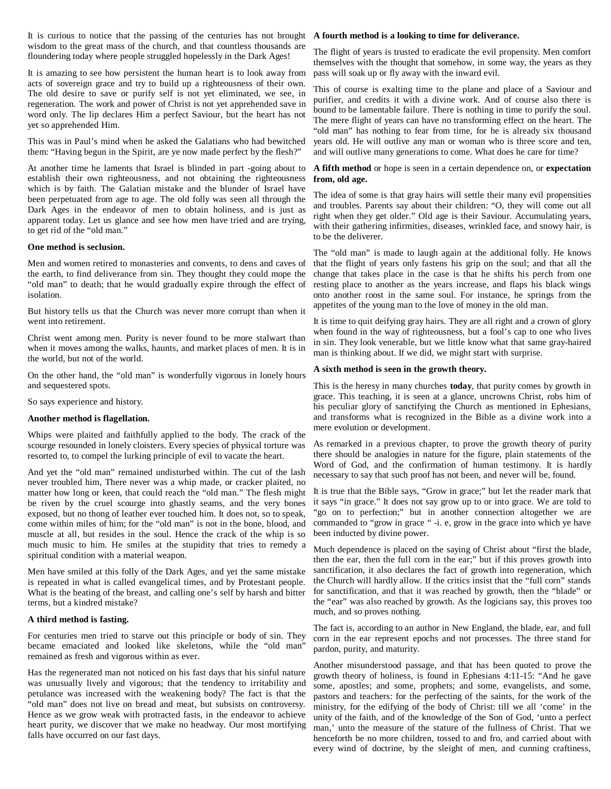It is curious to notice that the passing of the centuries has not brought **A fourth method is a looking to time for deliverance.** wisdom to the great mass of the church, and that countless thousands are floundering today where people struggled hopelessly in the Dark Ages!

It is amazing to see how persistent the human heart is to look away from acts of sovereign grace and try to build up a righteousness of their own. The old desire to save or purify self is not yet eliminated, we see, in regeneration. The work and power of Christ is not yet apprehended save in word only. The lip declares Him a perfect Saviour, but the heart has not yet so apprehended Him.

This was in Paul's mind when he asked the Galatians who had bewitched them: "Having begun in the Spirit, are ye now made perfect by the flesh?"

At another time he laments that Israel is blinded in part -going about to establish their own righteousness, and not obtaining the righteousness which is by faith. The Galatian mistake and the blunder of Israel have been perpetuated from age to age. The old folly was seen all through the Dark Ages in the endeavor of men to obtain holiness, and is just as apparent today. Let us glance and see how men have tried and are trying, to get rid of the "old man."

#### **One method is seclusion.**

Men and women retired to monasteries and convents, to dens and caves of the earth, to find deliverance from sin. They thought they could mope the "old man" to death; that he would gradually expire through the effect of isolation.

But history tells us that the Church was never more corrupt than when it went into retirement.

Christ went among men. Purity is never found to be more stalwart than when it moves among the walks, haunts, and market places of men. It is in the world, but not of the world.

On the other hand, the "old man" is wonderfully vigorous in lonely hours and sequestered spots.

So says experience and history.

### **Another method is flagellation.**

Whips were plaited and faithfully applied to the body. The crack of the scourge resounded in lonely cloisters. Every species of physical torture was resorted to, to compel the lurking principle of evil to vacate the heart.

And yet the "old man" remained undisturbed within. The cut of the lash never troubled him, There never was a whip made, or cracker plaited, no matter how long or keen, that could reach the "old man." The flesh might be riven by the cruel scourge into ghastly seams, and the very bones exposed, but no thong of leather ever touched him. It does not, so to speak, come within miles of him; for the "old man" is not in the bone, blood, and muscle at all, but resides in the soul. Hence the crack of the whip is so much music to him. He smiles at the stupidity that tries to remedy a spiritual condition with a material weapon.

Men have smiled at this folly of the Dark Ages, and yet the same mistake is repeated in what is called evangelical times, and by Protestant people. What is the beating of the breast, and calling one's self by harsh and bitter terms, but a kindred mistake?

#### **A third method is fasting.**

For centuries men tried to starve out this principle or body of sin. They became emaciated and looked like skeletons, while the "old man" remained as fresh and vigorous within as ever.

Has the regenerated man not noticed on his fast days that his sinful nature was unusually lively and vigorous; that the tendency to irritability and petulance was increased with the weakening body? The fact is that the "old man" does not live on bread and meat, but subsists on controversy. Hence as we grow weak with protracted fasts, in the endeavor to achieve heart purity, we discover that we make no headway. Our most mortifying falls have occurred on our fast days.

The flight of years is trusted to eradicate the evil propensity. Men comfort themselves with the thought that somehow, in some way, the years as they pass will soak up or fly away with the inward evil.

This of course is exalting time to the plane and place of a Saviour and purifier, and credits it with a divine work. And of course also there is bound to be lamentable failure. There is nothing in time to purify the soul. The mere flight of years can have no transforming effect on the heart. The "old man" has nothing to fear from time, for he is already six thousand years old. He will outlive any man or woman who is three score and ten, and will outlive many generations to come. What does he care for time?

#### **A fifth method** or hope is seen in a certain dependence on, or **expectation from, old age.**

The idea of some is that gray hairs will settle their many evil propensities and troubles. Parents say about their children: "O, they will come out all right when they get older." Old age is their Saviour. Accumulating years, with their gathering infirmities, diseases, wrinkled face, and snowy hair, is to be the deliverer.

The "old man" is made to laugh again at the additional folly. He knows that the flight of years only fastens his grip on the soul; and that all the change that takes place in the case is that he shifts his perch from one resting place to another as the years increase, and flaps his black wings onto another roost in the same soul. For instance, he springs from the appetites of the young man to the love of money in the old man.

It is time to quit deifying gray hairs. They are all right and a crown of glory when found in the way of righteousness, but a fool's cap to one who lives in sin. They look venerable, but we little know what that same gray-haired man is thinking about. If we did, we might start with surprise.

#### **A sixth method is seen in the growth theory.**

This is the heresy in many churches **today**, that purity comes by growth in grace. This teaching, it is seen at a glance, uncrowns Christ, robs him of his peculiar glory of sanctifying the Church as mentioned in Ephesians, and transforms what is recognized in the Bible as a divine work into a mere evolution or development.

As remarked in a previous chapter, to prove the growth theory of purity there should be analogies in nature for the figure, plain statements of the Word of God, and the confirmation of human testimony. It is hardly necessary to say that such proof has not been, and never will be, found.

It is true that the Bible says, "Grow in grace;" but let the reader mark that it says "in grace." It does not say grow up to or into grace. We are told to "go on to perfection;" but in another connection altogether we are commanded to "grow in grace " -i. e, grow in the grace into which ye have been inducted by divine power.

Much dependence is placed on the saying of Christ about "first the blade, then the ear, then the full corn in the ear;" but if this proves growth into sanctification, it also declares the fact of growth into regeneration, which the Church will hardly allow. If the critics insist that the "full corn" stands for sanctification, and that it was reached by growth, then the "blade" or the "ear" was also reached by growth. As the logicians say, this proves too much, and so proves nothing.

The fact is, according to an author in New England, the blade, ear, and full corn in the ear represent epochs and not processes. The three stand for pardon, purity, and maturity.

Another misunderstood passage, and that has been quoted to prove the growth theory of holiness, is found in Ephesians 4:11-15: "And he gave some, apostles; and some, prophets; and some, evangelists, and some, pastors and teachers: for the perfecting of the saints, for the work of the ministry, for the edifying of the body of Christ: till we all 'come' in the unity of the faith, and of the knowledge of the Son of God, 'unto a perfect man,' unto the measure of the stature of the fullness of Christ. That we henceforth be no more children, tossed to and fro, and carried about with every wind of doctrine, by the sleight of men, and cunning craftiness,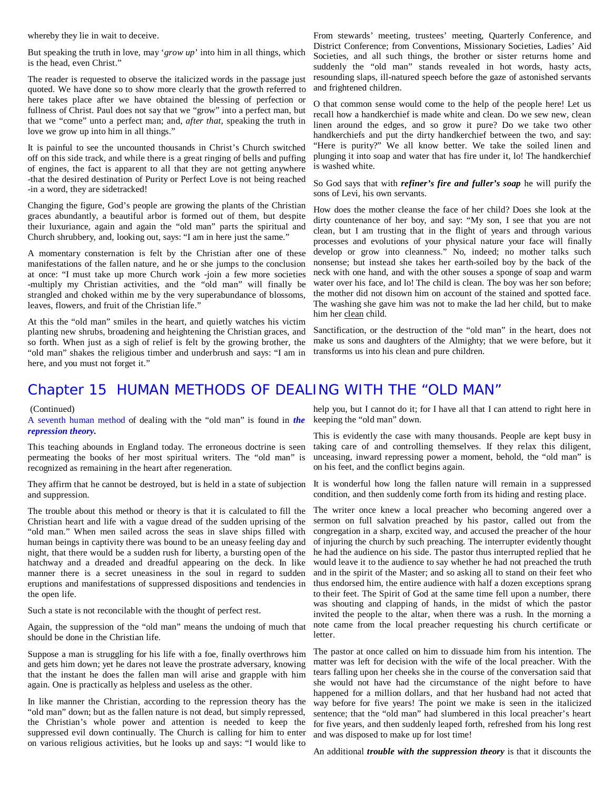whereby they lie in wait to deceive.

But speaking the truth in love, may '*grow up*' into him in all things, which is the head, even Christ."

The reader is requested to observe the italicized words in the passage just quoted. We have done so to show more clearly that the growth referred to here takes place after we have obtained the blessing of perfection or fullness of Christ. Paul does not say that we "grow" into a perfect man, but that we "come" unto a perfect man; and, *after that*, speaking the truth in love we grow up into him in all things."

It is painful to see the uncounted thousands in Christ's Church switched off on this side track, and while there is a great ringing of bells and puffing of engines, the fact is apparent to all that they are not getting anywhere -that the desired destination of Purity or Perfect Love is not being reached -in a word, they are sidetracked!

Changing the figure, God's people are growing the plants of the Christian graces abundantly, a beautiful arbor is formed out of them, but despite their luxuriance, again and again the "old man" parts the spiritual and Church shrubbery, and, looking out, says: "I am in here just the same."

A momentary consternation is felt by the Christian after one of these manifestations of the fallen nature, and he or she jumps to the conclusion at once: "I must take up more Church work -join a few more societies -multiply my Christian activities, and the "old man" will finally be strangled and choked within me by the very superabundance of blossoms, leaves, flowers, and fruit of the Christian life."

At this the "old man" smiles in the heart, and quietly watches his victim planting new shrubs, broadening and heightening the Christian graces, and so forth. When just as a sigh of relief is felt by the growing brother, the "old man" shakes the religious timber and underbrush and says: "I am in here, and you must not forget it."

From stewards' meeting, trustees' meeting, Quarterly Conference, and District Conference; from Conventions, Missionary Societies, Ladies' Aid Societies, and all such things, the brother or sister returns home and suddenly the "old man" stands revealed in hot words, hasty acts, resounding slaps, ill-natured speech before the gaze of astonished servants and frightened children.

O that common sense would come to the help of the people here! Let us recall how a handkerchief is made white and clean. Do we sew new, clean linen around the edges, and so grow it pure? Do we take two other handkerchiefs and put the dirty handkerchief between the two, and say: "Here is purity?" We all know better. We take the soiled linen and plunging it into soap and water that has fire under it, lo! The handkerchief is washed white.

So God says that with *refiner's fire and fuller's soap* he will purify the sons of Levi, his own servants.

How does the mother cleanse the face of her child? Does she look at the dirty countenance of her boy, and say: "My son, I see that you are not clean, but I am trusting that in the flight of years and through various processes and evolutions of your physical nature your face will finally develop or grow into cleanness." No, indeed; no mother talks such nonsense; but instead she takes her earth-soiled boy by the back of the neck with one hand, and with the other souses a sponge of soap and warm water over his face, and lo! The child is clean. The boy was her son before; the mother did not disown him on account of the stained and spotted face. The washing she gave him was not to make the lad her child, but to make him her clean child.

Sanctification, or the destruction of the "old man" in the heart, does not make us sons and daughters of the Almighty; that we were before, but it transforms us into his clean and pure children.

### Chapter 15 HUMAN METHODS OF DEALING WITH THE "OLD MAN"

#### (Continued)

A seventh human method of dealing with the "old man" is found in *the repression theory.*

This teaching abounds in England today. The erroneous doctrine is seen permeating the books of her most spiritual writers. The "old man" is recognized as remaining in the heart after regeneration.

They affirm that he cannot be destroyed, but is held in a state of subjection and suppression.

The trouble about this method or theory is that it is calculated to fill the Christian heart and life with a vague dread of the sudden uprising of the "old man." When men sailed across the seas in slave ships filled with human beings in captivity there was bound to be an uneasy feeling day and night, that there would be a sudden rush for liberty, a bursting open of the hatchway and a dreaded and dreadful appearing on the deck. In like manner there is a secret uneasiness in the soul in regard to sudden eruptions and manifestations of suppressed dispositions and tendencies in the open life.

Such a state is not reconcilable with the thought of perfect rest.

Again, the suppression of the "old man" means the undoing of much that should be done in the Christian life.

Suppose a man is struggling for his life with a foe, finally overthrows him and gets him down; yet he dares not leave the prostrate adversary, knowing that the instant he does the fallen man will arise and grapple with him again. One is practically as helpless and useless as the other.

In like manner the Christian, according to the repression theory has the "old man" down; but as the fallen nature is not dead, but simply repressed, the Christian's whole power and attention is needed to keep the suppressed evil down continually. The Church is calling for him to enter on various religious activities, but he looks up and says: "I would like to

help you, but I cannot do it; for I have all that I can attend to right here in keeping the "old man" down.

This is evidently the case with many thousands. People are kept busy in taking care of and controlling themselves. If they relax this diligent, unceasing, inward repressing power a moment, behold, the "old man" is on his feet, and the conflict begins again.

It is wonderful how long the fallen nature will remain in a suppressed condition, and then suddenly come forth from its hiding and resting place.

The writer once knew a local preacher who becoming angered over a sermon on full salvation preached by his pastor, called out from the congregation in a sharp, excited way, and accused the preacher of the hour of injuring the church by such preaching. The interrupter evidently thought he had the audience on his side. The pastor thus interrupted replied that he would leave it to the audience to say whether he had not preached the truth and in the spirit of the Master; and so asking all to stand on their feet who thus endorsed him, the entire audience with half a dozen exceptions sprang to their feet. The Spirit of God at the same time fell upon a number, there was shouting and clapping of hands, in the midst of which the pastor invited the people to the altar, when there was a rush. In the morning a note came from the local preacher requesting his church certificate or letter.

The pastor at once called on him to dissuade him from his intention. The matter was left for decision with the wife of the local preacher. With the tears falling upon her cheeks she in the course of the conversation said that she would not have had the circumstance of the night before to have happened for a million dollars, and that her husband had not acted that way before for five years! The point we make is seen in the italicized sentence; that the "old man" had slumbered in this local preacher's heart for five years, and then suddenly leaped forth, refreshed from his long rest and was disposed to make up for lost time!

An additional *trouble with the suppression theory* is that it discounts the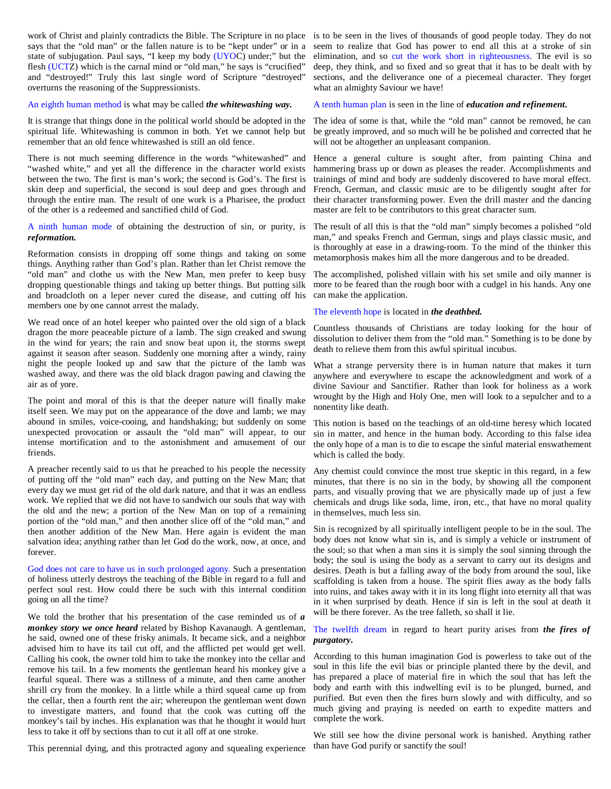says that the "old man" or the fallen nature is to be "kept under" or in a state of subjugation. Paul says, "I keep my body (UYOC) under;" but the flesh (UCTZ) which is the carnal mind or "old man," he says is "crucified" and "destroyed!" Truly this last single word of Scripture "destroyed" overturns the reasoning of the Suppressionists.

#### An eighth human method is what may be called *the whitewashing way.*

It is strange that things done in the political world should be adopted in the spiritual life. Whitewashing is common in both. Yet we cannot help but remember that an old fence whitewashed is still an old fence.

There is not much seeming difference in the words "whitewashed" and "washed white," and yet all the difference in the character world exists between the two. The first is man's work; the second is God's. The first is skin deep and superficial, the second is soul deep and goes through and through the entire man. The result of one work is a Pharisee, the product of the other is a redeemed and sanctified child of God.

A ninth human mode of obtaining the destruction of sin, or purity, is The result of all this is that the "old man" simply becomes a polished "old *reformation.*

Reformation consists in dropping off some things and taking on some things. Anything rather than God's plan. Rather than let Christ remove the "old man" and clothe us with the New Man, men prefer to keep busy dropping questionable things and taking up better things. But putting silk and broadcloth on a leper never cured the disease, and cutting off his members one by one cannot arrest the malady.

We read once of an hotel keeper who painted over the old sign of a black dragon the more peaceable picture of a lamb. The sign creaked and swung in the wind for years; the rain and snow beat upon it, the storms swept against it season after season. Suddenly one morning after a windy, rainy night the people looked up and saw that the picture of the lamb was washed away, and there was the old black dragon pawing and clawing the air as of yore.

The point and moral of this is that the deeper nature will finally make itself seen. We may put on the appearance of the dove and lamb; we may abound in smiles, voice-cooing, and handshaking; but suddenly on some unexpected provocation or assault the "old man" will appear, to our intense mortification and to the astonishment and amusement of our friends.

A preacher recently said to us that he preached to his people the necessity of putting off the "old man" each day, and putting on the New Man; that every day we must get rid of the old dark nature, and that it was an endless work. We replied that we did not have to sandwich our souls that way with the old and the new; a portion of the New Man on top of a remaining portion of the "old man," and then another slice off of the "old man," and then another addition of the New Man. Here again is evident the man salvation idea; anything rather than let God do the work, now, at once, and forever.

God does not care to have us in such prolonged agony. Such a presentation of holiness utterly destroys the teaching of the Bible in regard to a full and perfect soul rest. How could there be such with this internal condition going on all the time?

We told the brother that his presentation of the case reminded us of *a monkey story we once heard* related by Bishop Kavanaugh. A gentleman, he said, owned one of these frisky animals. It became sick, and a neighbor advised him to have its tail cut off, and the afflicted pet would get well. Calling his cook, the owner told him to take the monkey into the cellar and remove his tail. In a few moments the gentleman heard his monkey give a fearful squeal. There was a stillness of a minute, and then came another shrill cry from the monkey. In a little while a third squeal came up from the cellar, then a fourth rent the air; whereupon the gentleman went down to investigate matters, and found that the cook was cutting off the monkey's tail by inches. His explanation was that he thought it would hurt less to take it off by sections than to cut it all off at one stroke.

This perennial dying, and this protracted agony and squealing experience

work of Christ and plainly contradicts the Bible. The Scripture in no place is to be seen in the lives of thousands of good people today. They do not seem to realize that God has power to end all this at a stroke of sin elimination, and so cut the work short in righteousness. The evil is so deep, they think, and so fixed and so great that it has to be dealt with by sections, and the deliverance one of a piecemeal character. They forget what an almighty Saviour we have!

A tenth human plan is seen in the line of *education and refinement.*

The idea of some is that, while the "old man" cannot be removed, he can be greatly improved, and so much will he be polished and corrected that he will not be altogether an unpleasant companion.

Hence a general culture is sought after, from painting China and hammering brass up or down as pleases the reader. Accomplishments and trainings of mind and body are suddenly discovered to have moral effect. French, German, and classic music are to be diligently sought after for their character transforming power. Even the drill master and the dancing master are felt to be contributors to this great character sum.

man," and speaks French and German, sings and plays classic music, and is thoroughly at ease in a drawing-room. To the mind of the thinker this metamorphosis makes him all the more dangerous and to be dreaded.

The accomplished, polished villain with his set smile and oily manner is more to be feared than the rough boor with a cudgel in his hands. Any one can make the application.

#### The eleventh hope is located in *the deathbed.*

Countless thousands of Christians are today looking for the hour of dissolution to deliver them from the "old man." Something is to be done by death to relieve them from this awful spiritual incubus.

What a strange perversity there is in human nature that makes it turn anywhere and everywhere to escape the acknowledgment and work of a divine Saviour and Sanctifier. Rather than look for holiness as a work wrought by the High and Holy One, men will look to a sepulcher and to a nonentity like death.

This notion is based on the teachings of an old-time heresy which located sin in matter, and hence in the human body. According to this false idea the only hope of a man is to die to escape the sinful material enswathement which is called the body.

Any chemist could convince the most true skeptic in this regard, in a few minutes, that there is no sin in the body, by showing all the component parts, and visually proving that we are physically made up of just a few chemicals and drugs like soda, lime, iron, etc., that have no moral quality in themselves, much less sin.

Sin is recognized by all spiritually intelligent people to be in the soul. The body does not know what sin is, and is simply a vehicle or instrument of the soul; so that when a man sins it is simply the soul sinning through the body; the soul is using the body as a servant to carry out its designs and desires. Death is but a falling away of the body from around the soul, like scaffolding is taken from a house. The spirit flies away as the body falls into ruins, and takes away with it in its long flight into eternity all that was in it when surprised by death. Hence if sin is left in the soul at death it will be there forever. As the tree falleth, so shall it lie.

#### The twelfth dream in regard to heart purity arises from *the fires of purgatory.*

According to this human imagination God is powerless to take out of the soul in this life the evil bias or principle planted there by the devil, and has prepared a place of material fire in which the soul that has left the body and earth with this indwelling evil is to be plunged, burned, and purified. But even then the fires burn slowly and with difficulty, and so much giving and praying is needed on earth to expedite matters and complete the work.

We still see how the divine personal work is banished. Anything rather than have God purify or sanctify the soul!